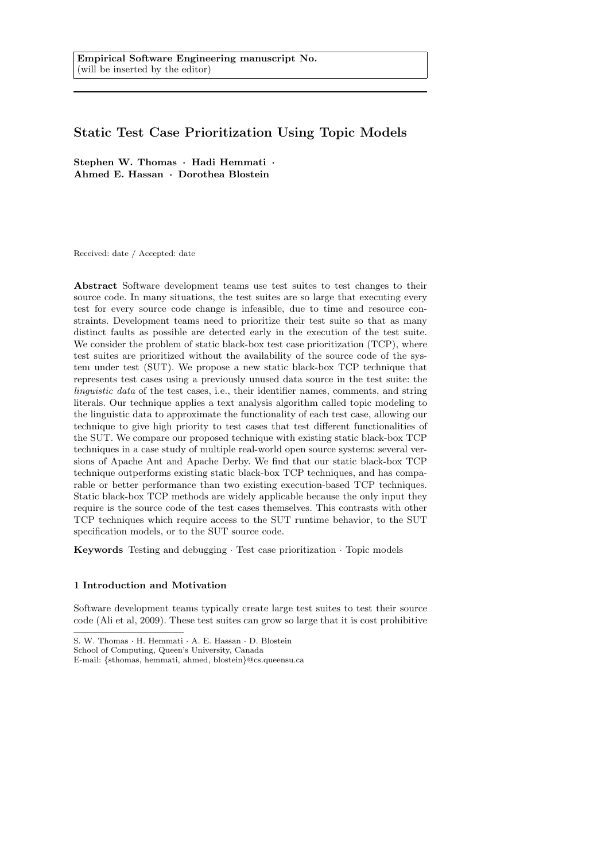# Static Test Case Prioritization Using Topic Models

Stephen W. Thomas · Hadi Hemmati · Ahmed E. Hassan · Dorothea Blostein

Received: date / Accepted: date

Abstract Software development teams use test suites to test changes to their source code. In many situations, the test suites are so large that executing every test for every source code change is infeasible, due to time and resource constraints. Development teams need to prioritize their test suite so that as many distinct faults as possible are detected early in the execution of the test suite. We consider the problem of static black-box test case prioritization (TCP), where test suites are prioritized without the availability of the source code of the system under test (SUT). We propose a new static black-box TCP technique that represents test cases using a previously unused data source in the test suite: the linguistic data of the test cases, i.e., their identifier names, comments, and string literals. Our technique applies a text analysis algorithm called topic modeling to the linguistic data to approximate the functionality of each test case, allowing our technique to give high priority to test cases that test different functionalities of the SUT. We compare our proposed technique with existing static black-box TCP techniques in a case study of multiple real-world open source systems: several versions of Apache Ant and Apache Derby. We find that our static black-box TCP technique outperforms existing static black-box TCP techniques, and has comparable or better performance than two existing execution-based TCP techniques. Static black-box TCP methods are widely applicable because the only input they require is the source code of the test cases themselves. This contrasts with other TCP techniques which require access to the SUT runtime behavior, to the SUT specification models, or to the SUT source code.

Keywords Testing and debugging · Test case prioritization · Topic models

# 1 Introduction and Motivation

Software development teams typically create large test suites to test their source code (Ali et al, 2009). These test suites can grow so large that it is cost prohibitive

S. W. Thomas · H. Hemmati · A. E. Hassan · D. Blostein

School of Computing, Queen's University, Canada

E-mail: {sthomas, hemmati, ahmed, blostein}@cs.queensu.ca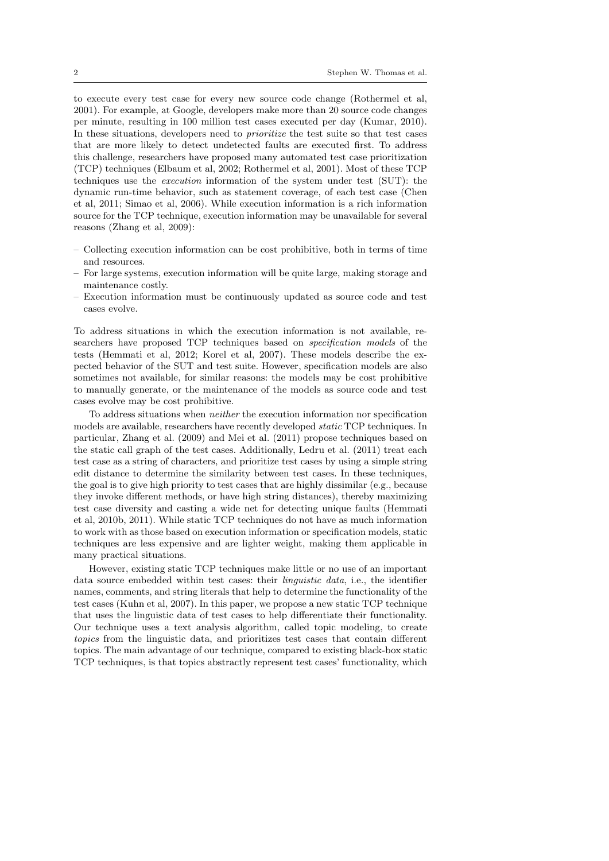to execute every test case for every new source code change (Rothermel et al, 2001). For example, at Google, developers make more than 20 source code changes per minute, resulting in 100 million test cases executed per day (Kumar, 2010). In these situations, developers need to prioritize the test suite so that test cases that are more likely to detect undetected faults are executed first. To address this challenge, researchers have proposed many automated test case prioritization (TCP) techniques (Elbaum et al, 2002; Rothermel et al, 2001). Most of these TCP techniques use the execution information of the system under test (SUT): the dynamic run-time behavior, such as statement coverage, of each test case (Chen et al, 2011; Simao et al, 2006). While execution information is a rich information source for the TCP technique, execution information may be unavailable for several reasons (Zhang et al, 2009):

- Collecting execution information can be cost prohibitive, both in terms of time and resources.
- For large systems, execution information will be quite large, making storage and maintenance costly.
- Execution information must be continuously updated as source code and test cases evolve.

To address situations in which the execution information is not available, researchers have proposed TCP techniques based on specification models of the tests (Hemmati et al, 2012; Korel et al, 2007). These models describe the expected behavior of the SUT and test suite. However, specification models are also sometimes not available, for similar reasons: the models may be cost prohibitive to manually generate, or the maintenance of the models as source code and test cases evolve may be cost prohibitive.

To address situations when neither the execution information nor specification models are available, researchers have recently developed static TCP techniques. In particular, Zhang et al. (2009) and Mei et al. (2011) propose techniques based on the static call graph of the test cases. Additionally, Ledru et al. (2011) treat each test case as a string of characters, and prioritize test cases by using a simple string edit distance to determine the similarity between test cases. In these techniques, the goal is to give high priority to test cases that are highly dissimilar (e.g., because they invoke different methods, or have high string distances), thereby maximizing test case diversity and casting a wide net for detecting unique faults (Hemmati et al, 2010b, 2011). While static TCP techniques do not have as much information to work with as those based on execution information or specification models, static techniques are less expensive and are lighter weight, making them applicable in many practical situations.

However, existing static TCP techniques make little or no use of an important data source embedded within test cases: their linguistic data, i.e., the identifier names, comments, and string literals that help to determine the functionality of the test cases (Kuhn et al, 2007). In this paper, we propose a new static TCP technique that uses the linguistic data of test cases to help differentiate their functionality. Our technique uses a text analysis algorithm, called topic modeling, to create topics from the linguistic data, and prioritizes test cases that contain different topics. The main advantage of our technique, compared to existing black-box static TCP techniques, is that topics abstractly represent test cases' functionality, which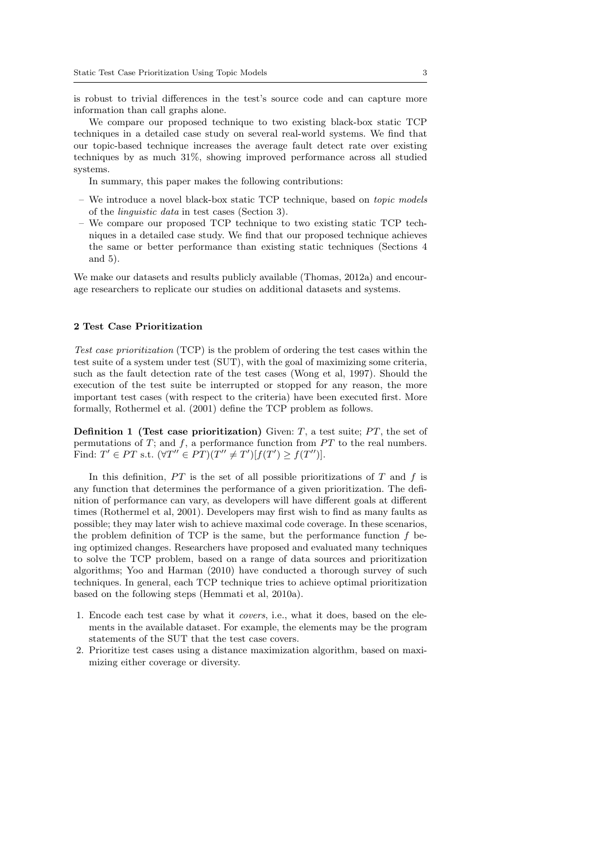is robust to trivial differences in the test's source code and can capture more information than call graphs alone.

We compare our proposed technique to two existing black-box static TCP techniques in a detailed case study on several real-world systems. We find that our topic-based technique increases the average fault detect rate over existing techniques by as much 31%, showing improved performance across all studied systems.

In summary, this paper makes the following contributions:

- We introduce a novel black-box static TCP technique, based on topic models of the linguistic data in test cases (Section 3).
- We compare our proposed TCP technique to two existing static TCP techniques in a detailed case study. We find that our proposed technique achieves the same or better performance than existing static techniques (Sections 4 and 5).

We make our datasets and results publicly available (Thomas, 2012a) and encourage researchers to replicate our studies on additional datasets and systems.

### 2 Test Case Prioritization

Test case prioritization (TCP) is the problem of ordering the test cases within the test suite of a system under test (SUT), with the goal of maximizing some criteria, such as the fault detection rate of the test cases (Wong et al, 1997). Should the execution of the test suite be interrupted or stopped for any reason, the more important test cases (with respect to the criteria) have been executed first. More formally, Rothermel et al. (2001) define the TCP problem as follows.

**Definition 1 (Test case prioritization)** Given:  $T$ , a test suite;  $PT$ , the set of permutations of  $T$ ; and  $f$ , a performance function from  $PT$  to the real numbers. Find:  $T' \in PT$  s.t.  $(\forall T'' \in PT)(T'' \neq T')[f(T') \geq f(T'')].$ 

In this definition,  $PT$  is the set of all possible prioritizations of  $T$  and  $f$  is any function that determines the performance of a given prioritization. The definition of performance can vary, as developers will have different goals at different times (Rothermel et al, 2001). Developers may first wish to find as many faults as possible; they may later wish to achieve maximal code coverage. In these scenarios, the problem definition of TCP is the same, but the performance function  $f$  being optimized changes. Researchers have proposed and evaluated many techniques to solve the TCP problem, based on a range of data sources and prioritization algorithms; Yoo and Harman (2010) have conducted a thorough survey of such techniques. In general, each TCP technique tries to achieve optimal prioritization based on the following steps (Hemmati et al, 2010a).

- 1. Encode each test case by what it covers, i.e., what it does, based on the elements in the available dataset. For example, the elements may be the program statements of the SUT that the test case covers.
- 2. Prioritize test cases using a distance maximization algorithm, based on maximizing either coverage or diversity.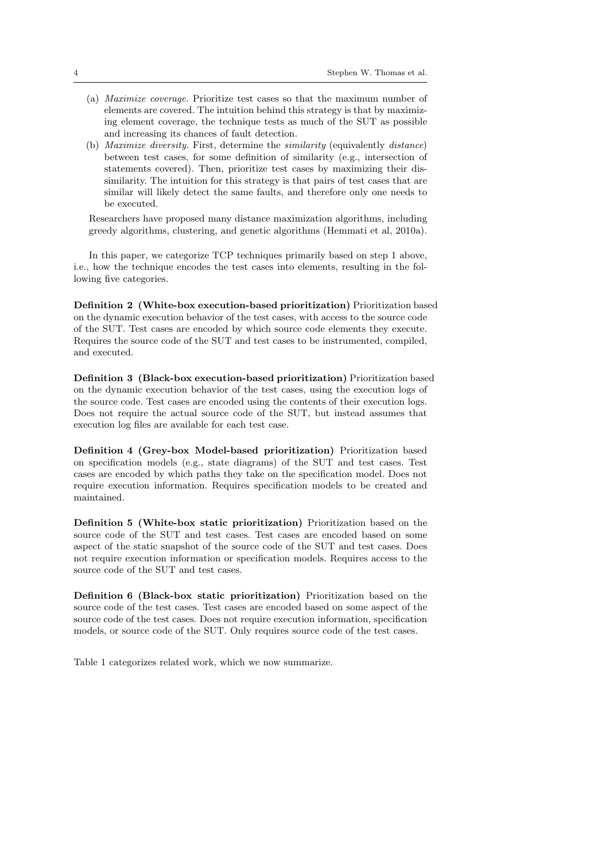- (a) Maximize coverage. Prioritize test cases so that the maximum number of elements are covered. The intuition behind this strategy is that by maximizing element coverage, the technique tests as much of the SUT as possible and increasing its chances of fault detection.
- (b) Maximize diversity. First, determine the similarity (equivalently distance) between test cases, for some definition of similarity (e.g., intersection of statements covered). Then, prioritize test cases by maximizing their dissimilarity. The intuition for this strategy is that pairs of test cases that are similar will likely detect the same faults, and therefore only one needs to be executed.

Researchers have proposed many distance maximization algorithms, including greedy algorithms, clustering, and genetic algorithms (Hemmati et al, 2010a).

In this paper, we categorize TCP techniques primarily based on step 1 above, i.e., how the technique encodes the test cases into elements, resulting in the following five categories.

Definition 2 (White-box execution-based prioritization) Prioritization based on the dynamic execution behavior of the test cases, with access to the source code of the SUT. Test cases are encoded by which source code elements they execute. Requires the source code of the SUT and test cases to be instrumented, compiled, and executed.

Definition 3 (Black-box execution-based prioritization) Prioritization based on the dynamic execution behavior of the test cases, using the execution logs of the source code. Test cases are encoded using the contents of their execution logs. Does not require the actual source code of the SUT, but instead assumes that execution log files are available for each test case.

Definition 4 (Grey-box Model-based prioritization) Prioritization based on specification models (e.g., state diagrams) of the SUT and test cases. Test cases are encoded by which paths they take on the specification model. Does not require execution information. Requires specification models to be created and maintained.

Definition 5 (White-box static prioritization) Prioritization based on the source code of the SUT and test cases. Test cases are encoded based on some aspect of the static snapshot of the source code of the SUT and test cases. Does not require execution information or specification models. Requires access to the source code of the SUT and test cases.

Definition 6 (Black-box static prioritization) Prioritization based on the source code of the test cases. Test cases are encoded based on some aspect of the source code of the test cases. Does not require execution information, specification models, or source code of the SUT. Only requires source code of the test cases.

Table 1 categorizes related work, which we now summarize.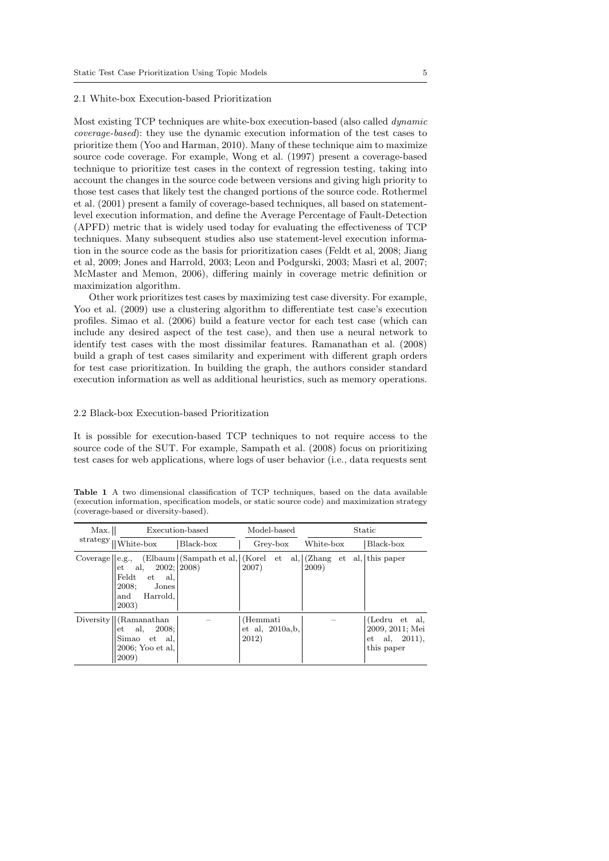### 2.1 White-box Execution-based Prioritization

Most existing TCP techniques are white-box execution-based (also called dynamic coverage-based): they use the dynamic execution information of the test cases to prioritize them (Yoo and Harman, 2010). Many of these technique aim to maximize source code coverage. For example, Wong et al. (1997) present a coverage-based technique to prioritize test cases in the context of regression testing, taking into account the changes in the source code between versions and giving high priority to those test cases that likely test the changed portions of the source code. Rothermel et al. (2001) present a family of coverage-based techniques, all based on statementlevel execution information, and define the Average Percentage of Fault-Detection (APFD) metric that is widely used today for evaluating the effectiveness of TCP techniques. Many subsequent studies also use statement-level execution information in the source code as the basis for prioritization cases (Feldt et al, 2008; Jiang et al, 2009; Jones and Harrold, 2003; Leon and Podgurski, 2003; Masri et al, 2007; McMaster and Memon, 2006), differing mainly in coverage metric definition or maximization algorithm.

Other work prioritizes test cases by maximizing test case diversity. For example, Yoo et al. (2009) use a clustering algorithm to differentiate test case's execution profiles. Simao et al. (2006) build a feature vector for each test case (which can include any desired aspect of the test case), and then use a neural network to identify test cases with the most dissimilar features. Ramanathan et al. (2008) build a graph of test cases similarity and experiment with different graph orders for test case prioritization. In building the graph, the authors consider standard execution information as well as additional heuristics, such as memory operations.

# 2.2 Black-box Execution-based Prioritization

It is possible for execution-based TCP techniques to not require access to the source code of the SUT. For example, Sampath et al. (2008) focus on prioritizing test cases for web applications, where logs of user behavior (i.e., data requests sent

Table 1 A two dimensional classification of TCP techniques, based on the data available (execution information, specification models, or static source code) and maximization strategy (coverage-based or diversity-based).

| Max.                    |                                                                                                       | Execution-based                                                                                                      | Model-based                             | Static    |                                                                             |  |  |
|-------------------------|-------------------------------------------------------------------------------------------------------|----------------------------------------------------------------------------------------------------------------------|-----------------------------------------|-----------|-----------------------------------------------------------------------------|--|--|
| strategy $_{\text{II}}$ | White-box                                                                                             | Black-box                                                                                                            | Grey-box                                | White-box | Black-box                                                                   |  |  |
| Coverage $\ $ e.g.,     | al,<br>$_{\rm et}$<br>Feldt<br>et<br>al,<br>2008;<br>Jones<br>Harrold,<br>and<br>2003)                | $\text{[Elbaum]}$ (Sampath et al, $\text{[Kore]}$ et al, $\text{[Zhang et al, ]this paper]}$<br>$2002;  2008\rangle$ | 2007)                                   | 2009)     |                                                                             |  |  |
|                         | Diversity    (Ramanathan)<br>2008;<br>al,<br>$_{\rm et}$<br>Simao et al,<br>2006; Yoo et al.<br>2009) |                                                                                                                      | (Hemmati<br>$et$ al, 2010a, b,<br>2012) |           | (Ledru et al.<br>2009, 2011; Mei<br>al, 2011),<br>$_{\rm et}$<br>this paper |  |  |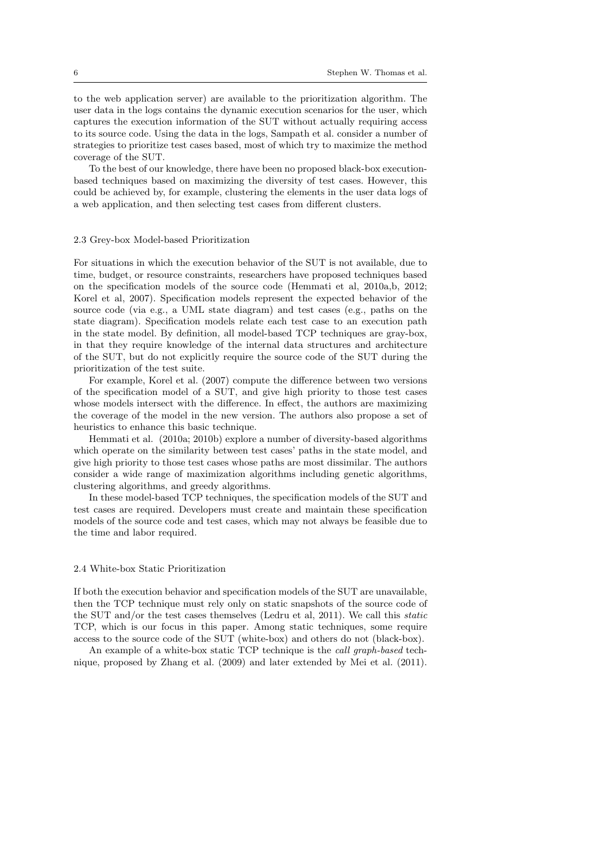to the web application server) are available to the prioritization algorithm. The user data in the logs contains the dynamic execution scenarios for the user, which captures the execution information of the SUT without actually requiring access to its source code. Using the data in the logs, Sampath et al. consider a number of strategies to prioritize test cases based, most of which try to maximize the method coverage of the SUT.

To the best of our knowledge, there have been no proposed black-box executionbased techniques based on maximizing the diversity of test cases. However, this could be achieved by, for example, clustering the elements in the user data logs of a web application, and then selecting test cases from different clusters.

### 2.3 Grey-box Model-based Prioritization

For situations in which the execution behavior of the SUT is not available, due to time, budget, or resource constraints, researchers have proposed techniques based on the specification models of the source code (Hemmati et al, 2010a,b, 2012; Korel et al, 2007). Specification models represent the expected behavior of the source code (via e.g., a UML state diagram) and test cases (e.g., paths on the state diagram). Specification models relate each test case to an execution path in the state model. By definition, all model-based TCP techniques are gray-box, in that they require knowledge of the internal data structures and architecture of the SUT, but do not explicitly require the source code of the SUT during the prioritization of the test suite.

For example, Korel et al. (2007) compute the difference between two versions of the specification model of a SUT, and give high priority to those test cases whose models intersect with the difference. In effect, the authors are maximizing the coverage of the model in the new version. The authors also propose a set of heuristics to enhance this basic technique.

Hemmati et al. (2010a; 2010b) explore a number of diversity-based algorithms which operate on the similarity between test cases' paths in the state model, and give high priority to those test cases whose paths are most dissimilar. The authors consider a wide range of maximization algorithms including genetic algorithms, clustering algorithms, and greedy algorithms.

In these model-based TCP techniques, the specification models of the SUT and test cases are required. Developers must create and maintain these specification models of the source code and test cases, which may not always be feasible due to the time and labor required.

#### 2.4 White-box Static Prioritization

If both the execution behavior and specification models of the SUT are unavailable, then the TCP technique must rely only on static snapshots of the source code of the SUT and/or the test cases themselves (Ledru et al, 2011). We call this static TCP, which is our focus in this paper. Among static techniques, some require access to the source code of the SUT (white-box) and others do not (black-box).

An example of a white-box static TCP technique is the call graph-based technique, proposed by Zhang et al. (2009) and later extended by Mei et al. (2011).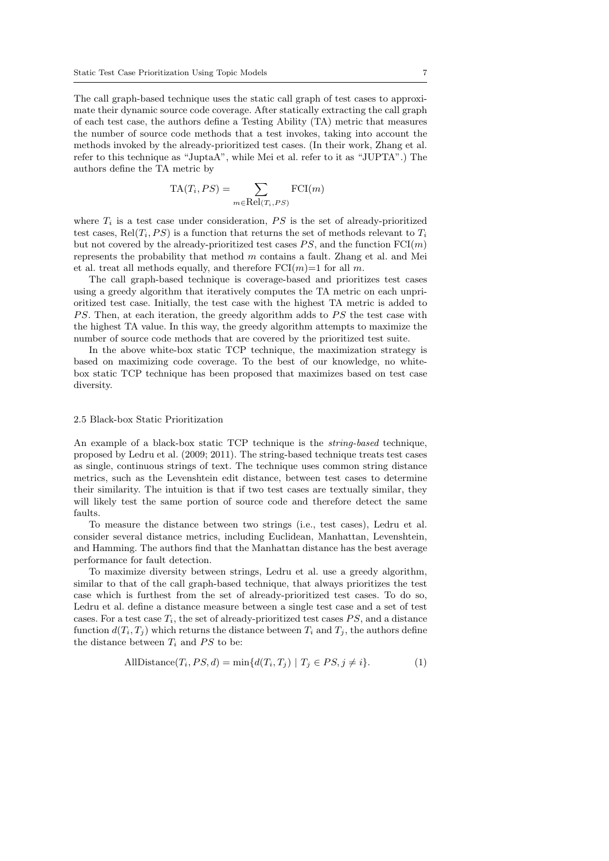The call graph-based technique uses the static call graph of test cases to approximate their dynamic source code coverage. After statically extracting the call graph of each test case, the authors define a Testing Ability (TA) metric that measures the number of source code methods that a test invokes, taking into account the methods invoked by the already-prioritized test cases. (In their work, Zhang et al. refer to this technique as "JuptaA", while Mei et al. refer to it as "JUPTA".) The authors define the TA metric by

$$
TA(T_i, PS) = \sum_{m \in Rel(T_i, PS)} FCI(m)
$$

where  $T_i$  is a test case under consideration,  $PS$  is the set of already-prioritized test cases, Rel $(T_i, PS)$  is a function that returns the set of methods relevant to  $T_i$ but not covered by the already-prioritized test cases  $PS$ , and the function  $FCI(m)$ represents the probability that method m contains a fault. Zhang et al. and Mei et al. treat all methods equally, and therefore  $FCI(m)=1$  for all m.

The call graph-based technique is coverage-based and prioritizes test cases using a greedy algorithm that iteratively computes the TA metric on each unprioritized test case. Initially, the test case with the highest TA metric is added to  $PS.$  Then, at each iteration, the greedy algorithm adds to  $PS$  the test case with the highest TA value. In this way, the greedy algorithm attempts to maximize the number of source code methods that are covered by the prioritized test suite.

In the above white-box static TCP technique, the maximization strategy is based on maximizing code coverage. To the best of our knowledge, no whitebox static TCP technique has been proposed that maximizes based on test case diversity.

# 2.5 Black-box Static Prioritization

An example of a black-box static TCP technique is the string-based technique, proposed by Ledru et al. (2009; 2011). The string-based technique treats test cases as single, continuous strings of text. The technique uses common string distance metrics, such as the Levenshtein edit distance, between test cases to determine their similarity. The intuition is that if two test cases are textually similar, they will likely test the same portion of source code and therefore detect the same faults.

To measure the distance between two strings (i.e., test cases), Ledru et al. consider several distance metrics, including Euclidean, Manhattan, Levenshtein, and Hamming. The authors find that the Manhattan distance has the best average performance for fault detection.

To maximize diversity between strings, Ledru et al. use a greedy algorithm, similar to that of the call graph-based technique, that always prioritizes the test case which is furthest from the set of already-prioritized test cases. To do so, Ledru et al. define a distance measure between a single test case and a set of test cases. For a test case  $T_i$ , the set of already-prioritized test cases  $PS$ , and a distance function  $d(T_i, T_j)$  which returns the distance between  $T_i$  and  $T_j$ , the authors define the distance between  $T_i$  and  $PS$  to be:

$$
\text{AllDistance}(T_i, PS, d) = \min\{d(T_i, T_j) \mid T_j \in PS, j \neq i\}. \tag{1}
$$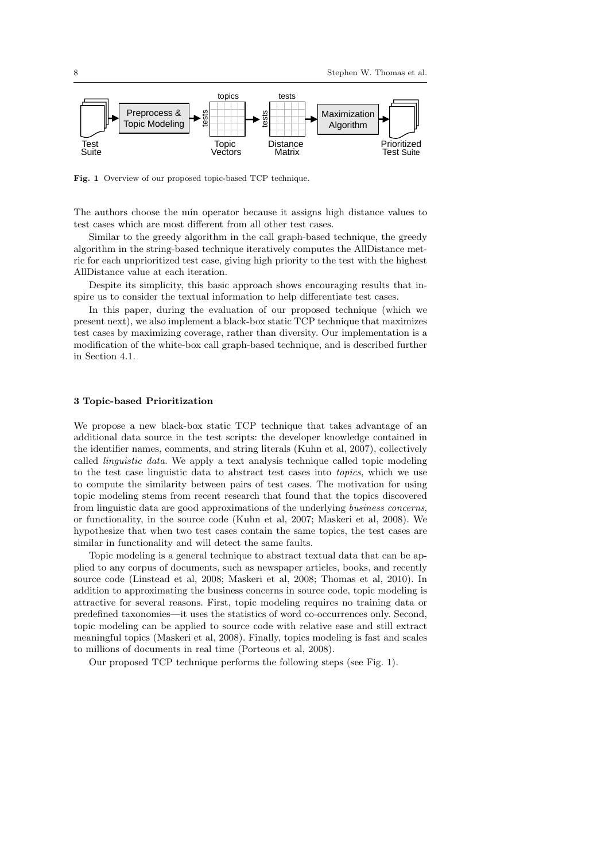

Fig. 1 Overview of our proposed topic-based TCP technique.

The authors choose the min operator because it assigns high distance values to test cases which are most different from all other test cases.

Similar to the greedy algorithm in the call graph-based technique, the greedy algorithm in the string-based technique iteratively computes the AllDistance metric for each unprioritized test case, giving high priority to the test with the highest AllDistance value at each iteration.

Despite its simplicity, this basic approach shows encouraging results that inspire us to consider the textual information to help differentiate test cases.

In this paper, during the evaluation of our proposed technique (which we present next), we also implement a black-box static TCP technique that maximizes test cases by maximizing coverage, rather than diversity. Our implementation is a modification of the white-box call graph-based technique, and is described further in Section 4.1.

# 3 Topic-based Prioritization

We propose a new black-box static TCP technique that takes advantage of an additional data source in the test scripts: the developer knowledge contained in the identifier names, comments, and string literals (Kuhn et al, 2007), collectively called linguistic data. We apply a text analysis technique called topic modeling to the test case linguistic data to abstract test cases into topics, which we use to compute the similarity between pairs of test cases. The motivation for using topic modeling stems from recent research that found that the topics discovered from linguistic data are good approximations of the underlying business concerns, or functionality, in the source code (Kuhn et al, 2007; Maskeri et al, 2008). We hypothesize that when two test cases contain the same topics, the test cases are similar in functionality and will detect the same faults.

Topic modeling is a general technique to abstract textual data that can be applied to any corpus of documents, such as newspaper articles, books, and recently source code (Linstead et al, 2008; Maskeri et al, 2008; Thomas et al, 2010). In addition to approximating the business concerns in source code, topic modeling is attractive for several reasons. First, topic modeling requires no training data or predefined taxonomies—it uses the statistics of word co-occurrences only. Second, topic modeling can be applied to source code with relative ease and still extract meaningful topics (Maskeri et al, 2008). Finally, topics modeling is fast and scales to millions of documents in real time (Porteous et al, 2008).

Our proposed TCP technique performs the following steps (see Fig. 1).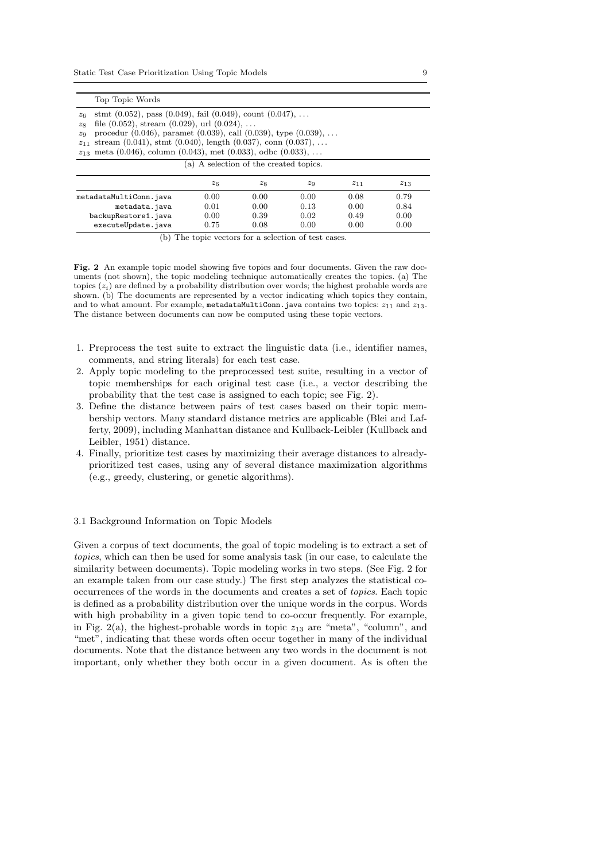| Top Topic Words                                                                                                                                                                                                                                                                                                                                                                          |                                        |       |       |          |          |  |  |  |  |
|------------------------------------------------------------------------------------------------------------------------------------------------------------------------------------------------------------------------------------------------------------------------------------------------------------------------------------------------------------------------------------------|----------------------------------------|-------|-------|----------|----------|--|--|--|--|
| stmt $(0.052)$ , pass $(0.049)$ , fail $(0.049)$ , count $(0.047)$ ,<br>$z_6$<br>file $(0.052)$ , stream $(0.029)$ , url $(0.024)$ ,<br>28<br>procedur $(0.046)$ , paramet $(0.039)$ , call $(0.039)$ , type $(0.039)$ ,<br>$z_9$<br>stream $(0.041)$ , stmt $(0.040)$ , length $(0.037)$ , conn $(0.037)$ ,<br>211<br>$z_{13}$ meta (0.046), column (0.043), met (0.033), odbc (0.033), |                                        |       |       |          |          |  |  |  |  |
|                                                                                                                                                                                                                                                                                                                                                                                          | (a) A selection of the created topics. |       |       |          |          |  |  |  |  |
|                                                                                                                                                                                                                                                                                                                                                                                          | $z_6$                                  | $z_8$ | $z_9$ | $z_{11}$ | $z_{13}$ |  |  |  |  |
| metadataMultiConn.java                                                                                                                                                                                                                                                                                                                                                                   | 0.00                                   | 0.00  | 0.00  | 0.08     | 0.79     |  |  |  |  |
| metadata.java                                                                                                                                                                                                                                                                                                                                                                            | 0.01                                   | 0.00  | 0.13  | 0.00     | 0.84     |  |  |  |  |
| backupRestore1.java                                                                                                                                                                                                                                                                                                                                                                      | 0.00                                   | 0.39  | 0.02  | 0.49     | 0.00     |  |  |  |  |
| 0.08<br>0.00<br>0.75<br>0.00<br>executeUpdate.java                                                                                                                                                                                                                                                                                                                                       |                                        |       |       |          |          |  |  |  |  |

(b) The topic vectors for a selection of test cases.

Fig. 2 An example topic model showing five topics and four documents. Given the raw documents (not shown), the topic modeling technique automatically creates the topics. (a) The topics  $(z<sub>i</sub>)$  are defined by a probability distribution over words; the highest probable words are shown. (b) The documents are represented by a vector indicating which topics they contain, and to what amount. For example, metadataMultiConn.java contains two topics:  $z_{11}$  and  $z_{13}$ . The distance between documents can now be computed using these topic vectors.

- 1. Preprocess the test suite to extract the linguistic data (i.e., identifier names, comments, and string literals) for each test case.
- 2. Apply topic modeling to the preprocessed test suite, resulting in a vector of topic memberships for each original test case (i.e., a vector describing the probability that the test case is assigned to each topic; see Fig. 2).
- 3. Define the distance between pairs of test cases based on their topic membership vectors. Many standard distance metrics are applicable (Blei and Lafferty, 2009), including Manhattan distance and Kullback-Leibler (Kullback and Leibler, 1951) distance.
- 4. Finally, prioritize test cases by maximizing their average distances to alreadyprioritized test cases, using any of several distance maximization algorithms (e.g., greedy, clustering, or genetic algorithms).

### 3.1 Background Information on Topic Models

Given a corpus of text documents, the goal of topic modeling is to extract a set of topics, which can then be used for some analysis task (in our case, to calculate the similarity between documents). Topic modeling works in two steps. (See Fig. 2 for an example taken from our case study.) The first step analyzes the statistical cooccurrences of the words in the documents and creates a set of topics. Each topic is defined as a probability distribution over the unique words in the corpus. Words with high probability in a given topic tend to co-occur frequently. For example, in Fig. 2(a), the highest-probable words in topic  $z_{13}$  are "meta", "column", and "met", indicating that these words often occur together in many of the individual documents. Note that the distance between any two words in the document is not important, only whether they both occur in a given document. As is often the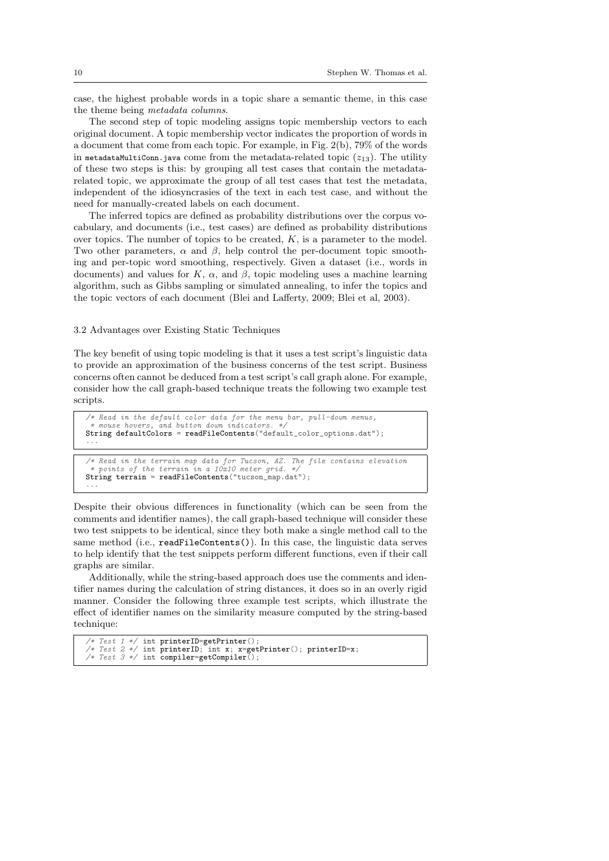case, the highest probable words in a topic share a semantic theme, in this case the theme being metadata columns.

The second step of topic modeling assigns topic membership vectors to each original document. A topic membership vector indicates the proportion of words in a document that come from each topic. For example, in Fig. 2(b), 79% of the words in metadataMultiConn.java come from the metadata-related topic  $(z_{13})$ . The utility of these two steps is this: by grouping all test cases that contain the metadatarelated topic, we approximate the group of all test cases that test the metadata, independent of the idiosyncrasies of the text in each test case, and without the need for manually-created labels on each document.

The inferred topics are defined as probability distributions over the corpus vocabulary, and documents (i.e., test cases) are defined as probability distributions over topics. The number of topics to be created,  $K$ , is a parameter to the model. Two other parameters,  $\alpha$  and  $\beta$ , help control the per-document topic smoothing and per-topic word smoothing, respectively. Given a dataset (i.e., words in documents) and values for K,  $\alpha$ , and  $\beta$ , topic modeling uses a machine learning algorithm, such as Gibbs sampling or simulated annealing, to infer the topics and the topic vectors of each document (Blei and Lafferty, 2009; Blei et al, 2003).

# 3.2 Advantages over Existing Static Techniques

The key benefit of using topic modeling is that it uses a test script's linguistic data to provide an approximation of the business concerns of the test script. Business concerns often cannot be deduced from a test script's call graph alone. For example, consider how the call graph-based technique treats the following two example test scripts.

/\* Read in the default color data for the menu bar, pull-down menus, mouse hovers, and button down indicators. String defaultColors = readFileContents("default\_color\_options.dat"); ...

```
/* Read in the terrain map data for Tucson, AZ. The file contains elevation
* points of the terrain in a 10x10 meter grid. */
String terrain = readFileContents("tucson_map.dat");
...
```
Despite their obvious differences in functionality (which can be seen from the comments and identifier names), the call graph-based technique will consider these two test snippets to be identical, since they both make a single method call to the same method (i.e., readFileContents()). In this case, the linguistic data serves to help identify that the test snippets perform different functions, even if their call graphs are similar.

Additionally, while the string-based approach does use the comments and identifier names during the calculation of string distances, it does so in an overly rigid manner. Consider the following three example test scripts, which illustrate the effect of identifier names on the similarity measure computed by the string-based technique:

```
/* Test 1 */ int printerID=getPrinter();
/* Test 2 */ int printerID; int x; x=getPrinter(); printerID=x;
/* Test 3 */ int compiler=getCompiler();
```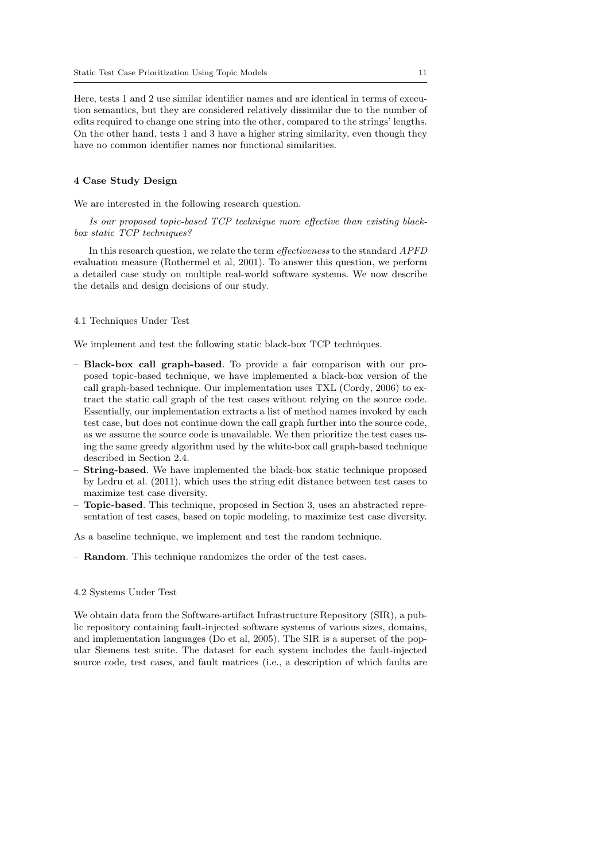Here, tests 1 and 2 use similar identifier names and are identical in terms of execution semantics, but they are considered relatively dissimilar due to the number of edits required to change one string into the other, compared to the strings' lengths. On the other hand, tests 1 and 3 have a higher string similarity, even though they have no common identifier names nor functional similarities.

# 4 Case Study Design

We are interested in the following research question.

Is our proposed topic-based TCP technique more effective than existing blackbox static TCP techniques?

In this research question, we relate the term effectiveness to the standard APFD evaluation measure (Rothermel et al, 2001). To answer this question, we perform a detailed case study on multiple real-world software systems. We now describe the details and design decisions of our study.

## 4.1 Techniques Under Test

We implement and test the following static black-box TCP techniques.

- Black-box call graph-based. To provide a fair comparison with our proposed topic-based technique, we have implemented a black-box version of the call graph-based technique. Our implementation uses TXL (Cordy, 2006) to extract the static call graph of the test cases without relying on the source code. Essentially, our implementation extracts a list of method names invoked by each test case, but does not continue down the call graph further into the source code, as we assume the source code is unavailable. We then prioritize the test cases using the same greedy algorithm used by the white-box call graph-based technique described in Section 2.4.
- **String-based**. We have implemented the black-box static technique proposed by Ledru et al. (2011), which uses the string edit distance between test cases to maximize test case diversity.
- Topic-based. This technique, proposed in Section 3, uses an abstracted representation of test cases, based on topic modeling, to maximize test case diversity.

As a baseline technique, we implement and test the random technique.

– Random. This technique randomizes the order of the test cases.

#### 4.2 Systems Under Test

We obtain data from the Software-artifact Infrastructure Repository (SIR), a public repository containing fault-injected software systems of various sizes, domains, and implementation languages (Do et al, 2005). The SIR is a superset of the popular Siemens test suite. The dataset for each system includes the fault-injected source code, test cases, and fault matrices (i.e., a description of which faults are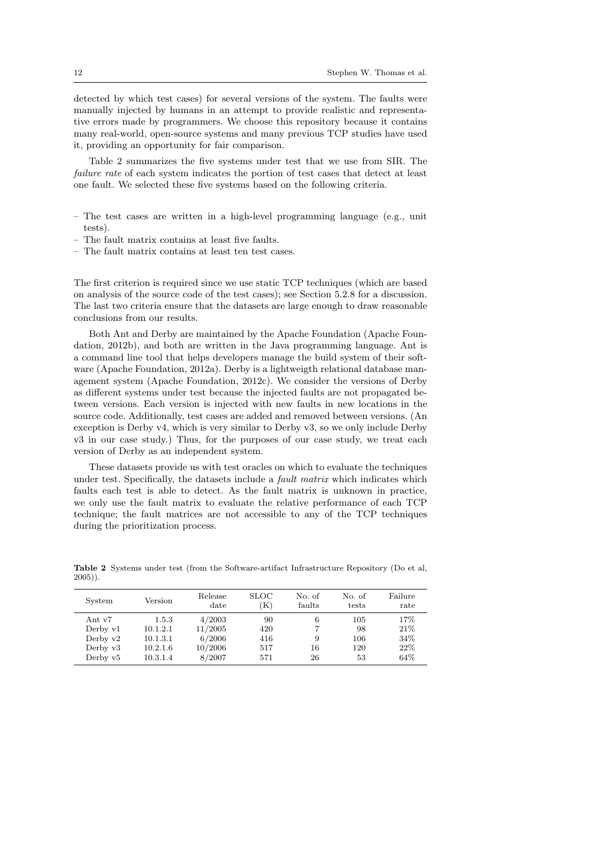detected by which test cases) for several versions of the system. The faults were manually injected by humans in an attempt to provide realistic and representative errors made by programmers. We choose this repository because it contains many real-world, open-source systems and many previous TCP studies have used it, providing an opportunity for fair comparison.

Table 2 summarizes the five systems under test that we use from SIR. The failure rate of each system indicates the portion of test cases that detect at least one fault. We selected these five systems based on the following criteria.

- The test cases are written in a high-level programming language (e.g., unit tests).
- The fault matrix contains at least five faults.
- The fault matrix contains at least ten test cases.

The first criterion is required since we use static TCP techniques (which are based on analysis of the source code of the test cases); see Section 5.2.8 for a discussion. The last two criteria ensure that the datasets are large enough to draw reasonable conclusions from our results.

Both Ant and Derby are maintained by the Apache Foundation (Apache Foundation, 2012b), and both are written in the Java programming language. Ant is a command line tool that helps developers manage the build system of their software (Apache Foundation, 2012a). Derby is a lightweigth relational database management system (Apache Foundation, 2012c). We consider the versions of Derby as different systems under test because the injected faults are not propagated between versions. Each version is injected with new faults in new locations in the source code. Additionally, test cases are added and removed between versions. (An exception is Derby v4, which is very similar to Derby v3, so we only include Derby v3 in our case study.) Thus, for the purposes of our case study, we treat each version of Derby as an independent system.

These datasets provide us with test oracles on which to evaluate the techniques under test. Specifically, the datasets include a fault matrix which indicates which faults each test is able to detect. As the fault matrix is unknown in practice, we only use the fault matrix to evaluate the relative performance of each TCP technique; the fault matrices are not accessible to any of the TCP techniques during the prioritization process.

| System                                                         | Version                                               | Release<br>date                                  | <b>SLOC</b><br>(K)             | No. of<br>faults   | No. of<br>tests               | Failure<br>rate                   |
|----------------------------------------------------------------|-------------------------------------------------------|--------------------------------------------------|--------------------------------|--------------------|-------------------------------|-----------------------------------|
| Ant v7<br>Derby $v1$<br>Derby $v2$<br>Derby $v3$<br>Derby $v5$ | 1.5.3<br>10.1.2.1<br>10.1.3.1<br>10.2.1.6<br>10.3.1.4 | 4/2003<br>11/2005<br>6/2006<br>10/2006<br>8/2007 | 90<br>420<br>416<br>517<br>571 | 6<br>9<br>16<br>26 | 105<br>98<br>106<br>120<br>53 | 17%<br>21\%<br>34%<br>22%<br>64\% |

Table 2 Systems under test (from the Software-artifact Infrastructure Repository (Do et al, 2005)).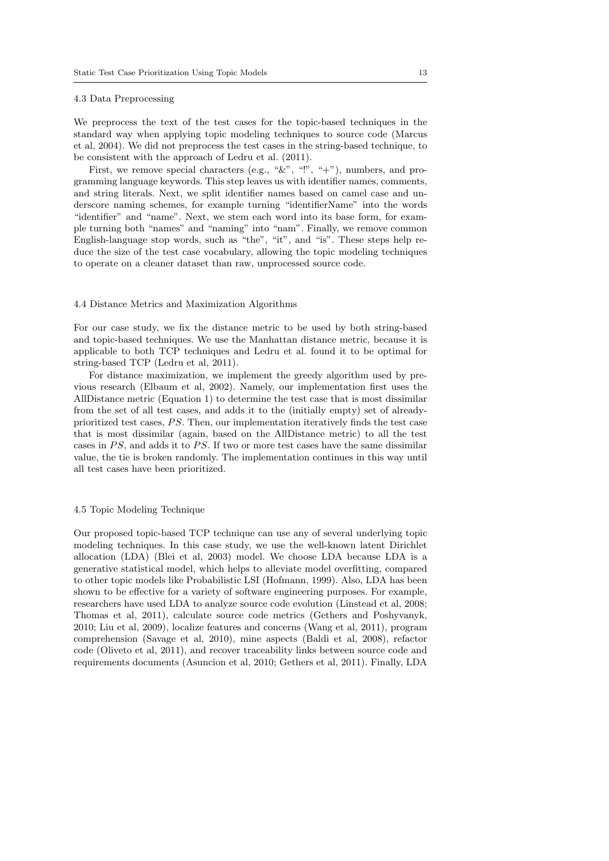#### 4.3 Data Preprocessing

We preprocess the text of the test cases for the topic-based techniques in the standard way when applying topic modeling techniques to source code (Marcus et al, 2004). We did not preprocess the test cases in the string-based technique, to be consistent with the approach of Ledru et al. (2011).

First, we remove special characters (e.g., " $\&$ ", "", "+"), numbers, and programming language keywords. This step leaves us with identifier names, comments, and string literals. Next, we split identifier names based on camel case and underscore naming schemes, for example turning "identifierName" into the words "identifier" and "name". Next, we stem each word into its base form, for example turning both "names" and "naming" into "nam". Finally, we remove common English-language stop words, such as "the", "it", and "is". These steps help reduce the size of the test case vocabulary, allowing the topic modeling techniques to operate on a cleaner dataset than raw, unprocessed source code.

#### 4.4 Distance Metrics and Maximization Algorithms

For our case study, we fix the distance metric to be used by both string-based and topic-based techniques. We use the Manhattan distance metric, because it is applicable to both TCP techniques and Ledru et al. found it to be optimal for string-based TCP (Ledru et al, 2011).

For distance maximization, we implement the greedy algorithm used by previous research (Elbaum et al, 2002). Namely, our implementation first uses the AllDistance metric (Equation 1) to determine the test case that is most dissimilar from the set of all test cases, and adds it to the (initially empty) set of alreadyprioritized test cases,  $PS$ . Then, our implementation iteratively finds the test case that is most dissimilar (again, based on the AllDistance metric) to all the test cases in  $PS$ , and adds it to  $PS$ . If two or more test cases have the same dissimilar value, the tie is broken randomly. The implementation continues in this way until all test cases have been prioritized.

# 4.5 Topic Modeling Technique

Our proposed topic-based TCP technique can use any of several underlying topic modeling techniques. In this case study, we use the well-known latent Dirichlet allocation (LDA) (Blei et al, 2003) model. We choose LDA because LDA is a generative statistical model, which helps to alleviate model overfitting, compared to other topic models like Probabilistic LSI (Hofmann, 1999). Also, LDA has been shown to be effective for a variety of software engineering purposes. For example, researchers have used LDA to analyze source code evolution (Linstead et al, 2008; Thomas et al, 2011), calculate source code metrics (Gethers and Poshyvanyk, 2010; Liu et al, 2009), localize features and concerns (Wang et al, 2011), program comprehension (Savage et al, 2010), mine aspects (Baldi et al, 2008), refactor code (Oliveto et al, 2011), and recover traceability links between source code and requirements documents (Asuncion et al, 2010; Gethers et al, 2011). Finally, LDA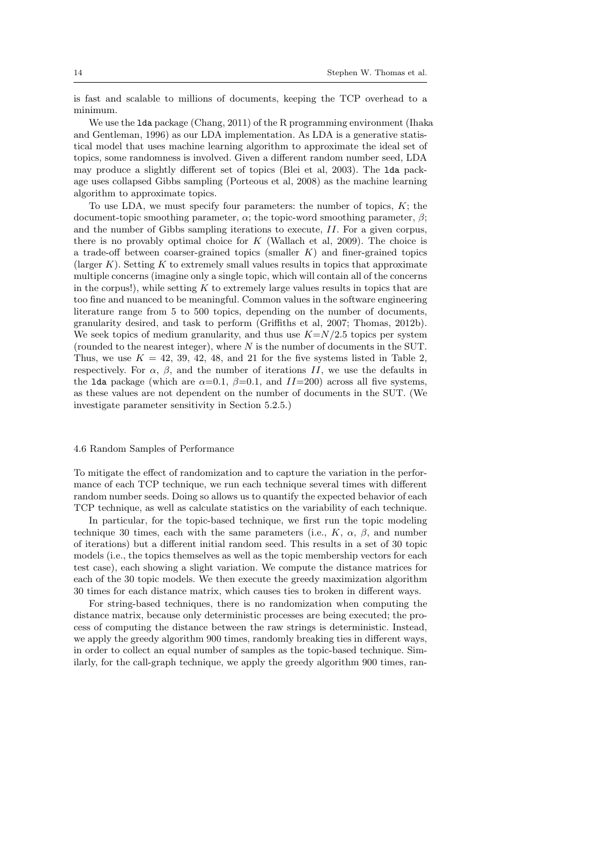is fast and scalable to millions of documents, keeping the TCP overhead to a minimum.

We use the lda package (Chang, 2011) of the R programming environment (Ihaka and Gentleman, 1996) as our LDA implementation. As LDA is a generative statistical model that uses machine learning algorithm to approximate the ideal set of topics, some randomness is involved. Given a different random number seed, LDA may produce a slightly different set of topics (Blei et al, 2003). The lda package uses collapsed Gibbs sampling (Porteous et al, 2008) as the machine learning algorithm to approximate topics.

To use LDA, we must specify four parameters: the number of topics,  $K$ ; the document-topic smoothing parameter,  $\alpha$ ; the topic-word smoothing parameter,  $\beta$ ; and the number of Gibbs sampling iterations to execute, II. For a given corpus, there is no provably optimal choice for  $K$  (Wallach et al, 2009). The choice is a trade-off between coarser-grained topics (smaller  $K$ ) and finer-grained topics (larger  $K$ ). Setting  $K$  to extremely small values results in topics that approximate multiple concerns (imagine only a single topic, which will contain all of the concerns in the corpus!), while setting  $K$  to extremely large values results in topics that are too fine and nuanced to be meaningful. Common values in the software engineering literature range from 5 to 500 topics, depending on the number of documents, granularity desired, and task to perform (Griffiths et al, 2007; Thomas, 2012b). We seek topics of medium granularity, and thus use  $K=N/2.5$  topics per system (rounded to the nearest integer), where N is the number of documents in the SUT. Thus, we use  $K = 42, 39, 42, 48,$  and 21 for the five systems listed in Table 2, respectively. For  $\alpha$ ,  $\beta$ , and the number of iterations II, we use the defaults in the lda package (which are  $\alpha=0.1$ ,  $\beta=0.1$ , and  $II=200$ ) across all five systems, as these values are not dependent on the number of documents in the SUT. (We investigate parameter sensitivity in Section 5.2.5.)

# 4.6 Random Samples of Performance

To mitigate the effect of randomization and to capture the variation in the performance of each TCP technique, we run each technique several times with different random number seeds. Doing so allows us to quantify the expected behavior of each TCP technique, as well as calculate statistics on the variability of each technique.

In particular, for the topic-based technique, we first run the topic modeling technique 30 times, each with the same parameters (i.e.,  $K$ ,  $\alpha$ ,  $\beta$ , and number of iterations) but a different initial random seed. This results in a set of 30 topic models (i.e., the topics themselves as well as the topic membership vectors for each test case), each showing a slight variation. We compute the distance matrices for each of the 30 topic models. We then execute the greedy maximization algorithm 30 times for each distance matrix, which causes ties to broken in different ways.

For string-based techniques, there is no randomization when computing the distance matrix, because only deterministic processes are being executed; the process of computing the distance between the raw strings is deterministic. Instead, we apply the greedy algorithm 900 times, randomly breaking ties in different ways, in order to collect an equal number of samples as the topic-based technique. Similarly, for the call-graph technique, we apply the greedy algorithm 900 times, ran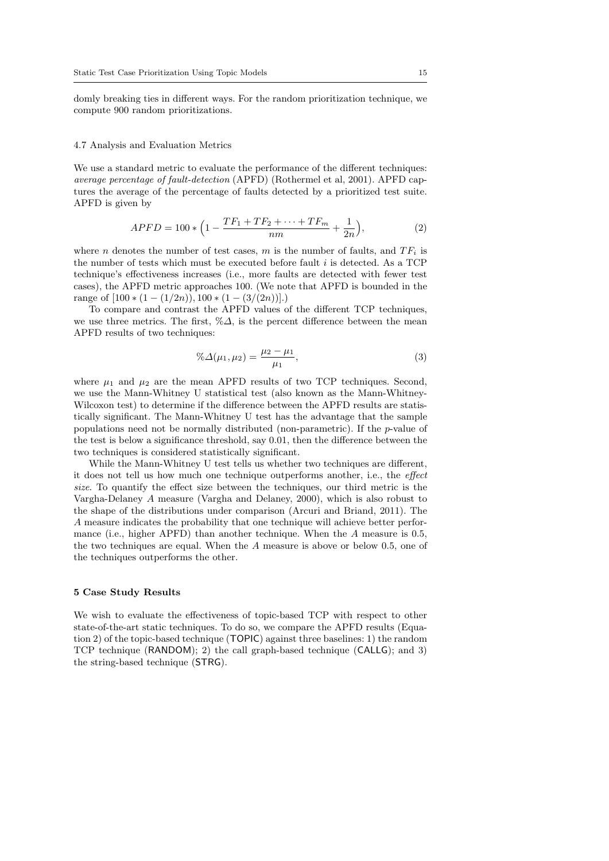domly breaking ties in different ways. For the random prioritization technique, we compute 900 random prioritizations.

#### 4.7 Analysis and Evaluation Metrics

We use a standard metric to evaluate the performance of the different techniques: average percentage of fault-detection (APFD) (Rothermel et al, 2001). APFD captures the average of the percentage of faults detected by a prioritized test suite. APFD is given by

$$
APFD = 100 * \left(1 - \frac{TF_1 + TF_2 + \dots + TF_m}{nm} + \frac{1}{2n}\right),\tag{2}
$$

where n denotes the number of test cases, m is the number of faults, and  $TF_i$  is the number of tests which must be executed before fault  $i$  is detected. As a TCP technique's effectiveness increases (i.e., more faults are detected with fewer test cases), the APFD metric approaches 100. (We note that APFD is bounded in the range of  $[100 * (1 - (1/2n)), 100 * (1 - (3/(2n))].)$ 

To compare and contrast the APFD values of the different TCP techniques, we use three metrics. The first,  $\% \Delta$ , is the percent difference between the mean APFD results of two techniques:

$$
\% \Delta(\mu_1, \mu_2) = \frac{\mu_2 - \mu_1}{\mu_1},\tag{3}
$$

where  $\mu_1$  and  $\mu_2$  are the mean APFD results of two TCP techniques. Second, we use the Mann-Whitney U statistical test (also known as the Mann-Whitney-Wilcoxon test) to determine if the difference between the APFD results are statistically significant. The Mann-Whitney U test has the advantage that the sample populations need not be normally distributed (non-parametric). If the p-value of the test is below a significance threshold, say 0.01, then the difference between the two techniques is considered statistically significant.

While the Mann-Whitney U test tells us whether two techniques are different, it does not tell us how much one technique outperforms another, i.e., the effect size. To quantify the effect size between the techniques, our third metric is the Vargha-Delaney A measure (Vargha and Delaney, 2000), which is also robust to the shape of the distributions under comparison (Arcuri and Briand, 2011). The A measure indicates the probability that one technique will achieve better performance (i.e., higher APFD) than another technique. When the  $A$  measure is 0.5, the two techniques are equal. When the A measure is above or below 0.5, one of the techniques outperforms the other.

#### 5 Case Study Results

We wish to evaluate the effectiveness of topic-based TCP with respect to other state-of-the-art static techniques. To do so, we compare the APFD results (Equation 2) of the topic-based technique (TOPIC) against three baselines: 1) the random TCP technique (RANDOM); 2) the call graph-based technique (CALLG); and 3) the string-based technique (STRG).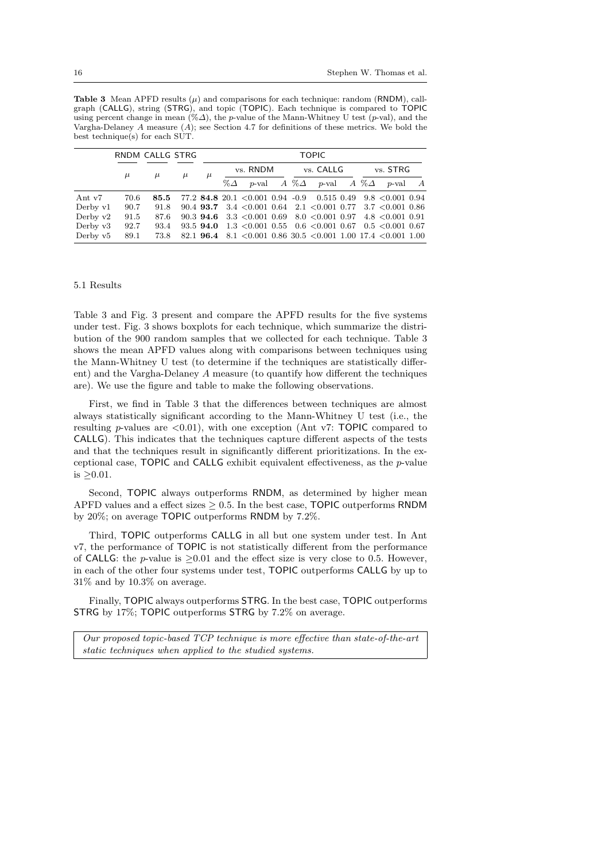**Table 3** Mean APFD results  $(\mu)$  and comparisons for each technique: random (RNDM), callgraph (CALLG), string (STRG), and topic (TOPIC). Each technique is compared to TOPIC using percent change in mean  $(\% \Delta)$ , the p-value of the Mann-Whitney U test (p-val), and the Vargha-Delaney A measure (A); see Section 4.7 for definitions of these metrics. We bold the best technique(s) for each SUT.

|                      | RNDM CALLG STRG |       |       |       | <b>TOPIC</b> |  |           |  |                                                                             |          |  |          |                |
|----------------------|-----------------|-------|-------|-------|--------------|--|-----------|--|-----------------------------------------------------------------------------|----------|--|----------|----------------|
|                      | $\mu$           | $\mu$ | $\mu$ | $\mu$ | vs. RNDM     |  | vs. CALLG |  |                                                                             | vs. STRG |  |          |                |
|                      |                 |       |       |       | $\% \Delta$  |  |           |  | p-val A % $\Delta$ p-val A % $\Delta$                                       |          |  | $p$ -val | $\overline{A}$ |
| Ant v7               | 70.6            | 85.5  |       |       |              |  |           |  | $77.2$ 84.8 20.1 < 0.001 0.94 -0.9 0.515 0.49 9.8 < 0.001 0.94              |          |  |          |                |
| Derby v1             | 90.7            | 91.8  |       |       |              |  |           |  | $90.4$ <b>93.7</b> 3.4 < 0.001 0.64 2.1 < 0.001 0.77 3.7 < 0.001 0.86       |          |  |          |                |
| Derby v2             | 91.5            | 87.6  |       |       |              |  |           |  | $90.3$ <b>94.6</b> $3.3$ < 0.001 0.69 $8.0$ < 0.001 0.97 $4.8$ < 0.001 0.91 |          |  |          |                |
| Derby $v3$           | 92.7            | 93.4  |       |       |              |  |           |  | 93.5 <b>94.0</b> 1.3 < 0.001 0.55 0.6 < 0.001 0.67 0.5 < 0.001 0.67         |          |  |          |                |
| Derby v <sup>5</sup> | 89.1            | 73.8  |       |       |              |  |           |  | 82.1 <b>96.4</b> 8.1 < 0.001 0.86 30.5 < 0.001 1.00 17.4 < 0.001 1.00       |          |  |          |                |

# 5.1 Results

Table 3 and Fig. 3 present and compare the APFD results for the five systems under test. Fig. 3 shows boxplots for each technique, which summarize the distribution of the 900 random samples that we collected for each technique. Table 3 shows the mean APFD values along with comparisons between techniques using the Mann-Whitney U test (to determine if the techniques are statistically different) and the Vargha-Delaney A measure (to quantify how different the techniques are). We use the figure and table to make the following observations.

First, we find in Table 3 that the differences between techniques are almost always statistically significant according to the Mann-Whitney U test (i.e., the resulting p-values are  $\langle 0.01 \rangle$ , with one exception (Ant v7: TOPIC compared to CALLG). This indicates that the techniques capture different aspects of the tests and that the techniques result in significantly different prioritizations. In the exceptional case, TOPIC and CALLG exhibit equivalent effectiveness, as the p-value is  $\geq 0.01$ .

Second, TOPIC always outperforms RNDM, as determined by higher mean APFD values and a effect sizes  $> 0.5$ . In the best case, TOPIC outperforms RNDM by 20%; on average TOPIC outperforms RNDM by 7.2%.

Third, TOPIC outperforms CALLG in all but one system under test. In Ant v7, the performance of TOPIC is not statistically different from the performance of CALLG: the p-value is  $\geq 0.01$  and the effect size is very close to 0.5. However, in each of the other four systems under test, TOPIC outperforms CALLG by up to 31% and by 10.3% on average.

Finally, TOPIC always outperforms STRG. In the best case, TOPIC outperforms STRG by 17%; TOPIC outperforms STRG by 7.2% on average.

Our proposed topic-based TCP technique is more effective than state-of-the-art static techniques when applied to the studied systems.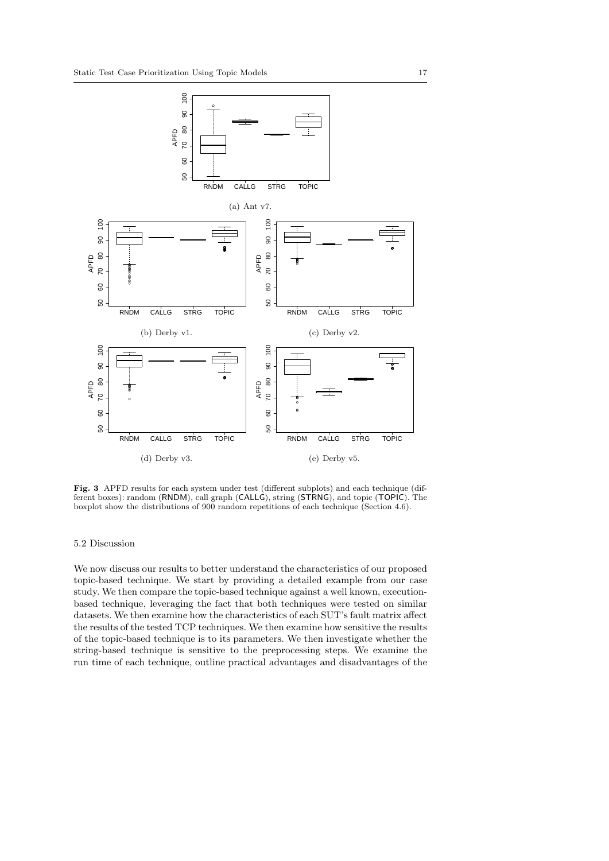

Fig. 3 APFD results for each system under test (different subplots) and each technique (different boxes): random (RNDM), call graph (CALLG), string (STRNG), and topic (TOPIC). The boxplot show the distributions of 900 random repetitions of each technique (Section 4.6).

# 5.2 Discussion

We now discuss our results to better understand the characteristics of our proposed topic-based technique. We start by providing a detailed example from our case study. We then compare the topic-based technique against a well known, executionbased technique, leveraging the fact that both techniques were tested on similar datasets. We then examine how the characteristics of each SUT's fault matrix affect the results of the tested TCP techniques. We then examine how sensitive the results of the topic-based technique is to its parameters. We then investigate whether the string-based technique is sensitive to the preprocessing steps. We examine the run time of each technique, outline practical advantages and disadvantages of the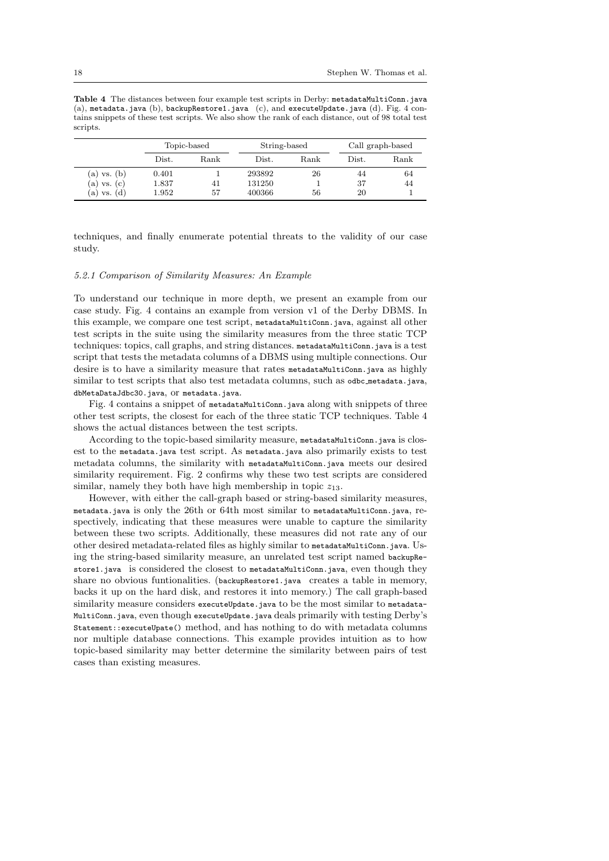Table 4 The distances between four example test scripts in Derby: metadataMultiConn.java (a), metadata.java (b), backupRestore1.java (c), and executeUpdate.java (d). Fig. 4 contains snippets of these test scripts. We also show the rank of each distance, out of 98 total test scripts.

|                 |       | Topic-based | String-based |      | Call graph-based |      |  |
|-----------------|-------|-------------|--------------|------|------------------|------|--|
|                 | Dist. | Rank        | Dist.        | Rank | Dist.            | Rank |  |
| $(a)$ vs. $(b)$ | 0.401 |             | 293892       | 26   | 44               | 64   |  |
| (a) vs. (c)     | 1.837 | 41          | 131250       |      | 37               | 44   |  |
| (d)<br>(a) vs.  | 1.952 | 57          | 400366       | 56   | 20               |      |  |

techniques, and finally enumerate potential threats to the validity of our case study.

## 5.2.1 Comparison of Similarity Measures: An Example

To understand our technique in more depth, we present an example from our case study. Fig. 4 contains an example from version v1 of the Derby DBMS. In this example, we compare one test script, metadataMultiConn.java, against all other test scripts in the suite using the similarity measures from the three static TCP techniques: topics, call graphs, and string distances. metadataMultiConn.java is a test script that tests the metadata columns of a DBMS using multiple connections. Our desire is to have a similarity measure that rates metadataMultiConn.java as highly similar to test scripts that also test metadata columns, such as odbc\_metadata.java, dbMetaDataJdbc30.java, or metadata.java.

Fig. 4 contains a snippet of metadataMultiConn.java along with snippets of three other test scripts, the closest for each of the three static TCP techniques. Table 4 shows the actual distances between the test scripts.

According to the topic-based similarity measure, metadataMultiConn.java is closest to the metadata.java test script. As metadata.java also primarily exists to test metadata columns, the similarity with metadataMultiConn.java meets our desired similarity requirement. Fig. 2 confirms why these two test scripts are considered similar, namely they both have high membership in topic  $z_{13}$ .

However, with either the call-graph based or string-based similarity measures, metadata.java is only the 26th or 64th most similar to metadataMultiConn.java, respectively, indicating that these measures were unable to capture the similarity between these two scripts. Additionally, these measures did not rate any of our other desired metadata-related files as highly similar to metadataMultiConn.java. Using the string-based similarity measure, an unrelated test script named backupRestore1.java is considered the closest to metadataMultiConn.java, even though they share no obvious funtionalities. (backupRestore1.java creates a table in memory, backs it up on the hard disk, and restores it into memory.) The call graph-based similarity measure considers executeUpdate.java to be the most similar to metadata-MultiConn.java, even though executeUpdate.java deals primarily with testing Derby's Statement::executeUpate() method, and has nothing to do with metadata columns nor multiple database connections. This example provides intuition as to how topic-based similarity may better determine the similarity between pairs of test cases than existing measures.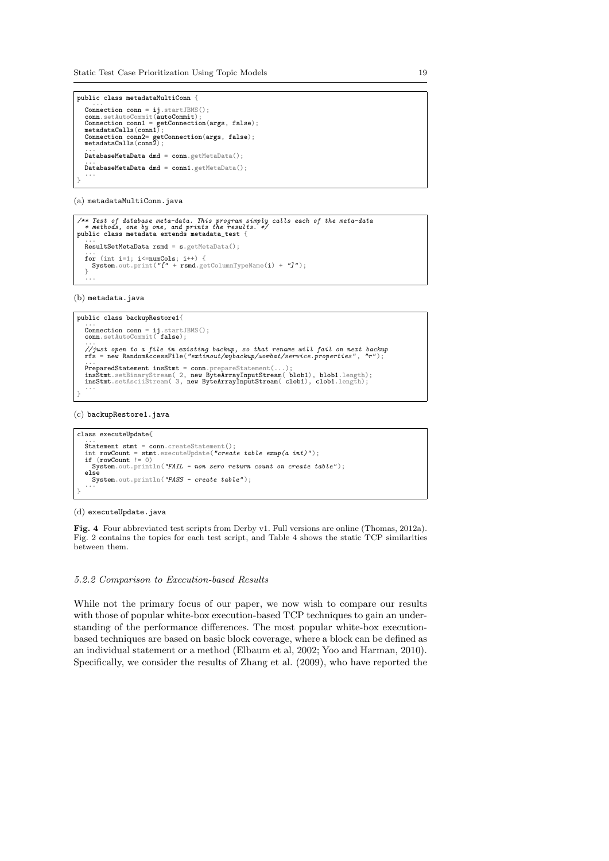Static Test Case Prioritization Using Topic Models 19

```
public class metadataMultiConn {
  ...
Connection conn = ij.startJBMS();
  conn.setAutoCommit(autoCommit)
  Connection conn1 = getConnection(args, false);
metadataCalls(conn1);
  Connection conn2= getConnection(args, false);
metadataCalls(conn2);
...
  DatabaseMetaData dmd = conn.getMetaData();
  ...
DatabaseMetaData dmd = conn1.getMetaData();
...
}
```
(a) metadataMultiConn.java

```
/** Test of database meta-data. This program simply calls each of the meta-data
* methods, one by one, and prints the results. */
public class metadata extends metadata_test {
...
  ResultSetMetaData rsmd = s.getMetaData();
   ...<br>for (int i=1; i<=numCols; i++) {<br>_ System.out.print("[" + rsmd.getColumnTypeName(i) + "J");
  }
   ...
```
(b) metadata.java

```
public class backupRestore1{
     ...
Connection conn = ij.startJBMS();
conn.setAutoCommit( false);
     ...<br>//just open to a file in existing backup, so that rename will fail on next backup<br>rfs = new RandomAccessFile("extinout/mybackup/wombat/service.properties", "r");
     ...<br>PreparedStatement insStmt = conn.prepareStatement(...);<br>insStmt.setAsciiStream( 2, new ByteArrayInputStream( blob1), blob1.length);<br>...<br>...
 }
```
(c) backupRestore1.java

```
class executeUpdate{
  ...<br>Statement stmt = conn create<sup>s</sup>tatement().
   Statement stmt = conn.createStatement();<br>int rowCount = stmt.executeUpdate("create table exup(a int)");<br>if (rowCount != 0)
   System.out.println("FAIL - non zero return count on create table");<br>else
     System.out.println("PASS - create table");
  ...
}
```
#### (d) executeUpdate.java

Fig. 4 Four abbreviated test scripts from Derby v1. Full versions are online (Thomas, 2012a). Fig. 2 contains the topics for each test script, and Table 4 shows the static TCP similarities between them.

# 5.2.2 Comparison to Execution-based Results

While not the primary focus of our paper, we now wish to compare our results with those of popular white-box execution-based TCP techniques to gain an understanding of the performance differences. The most popular white-box executionbased techniques are based on basic block coverage, where a block can be defined as an individual statement or a method (Elbaum et al, 2002; Yoo and Harman, 2010). Specifically, we consider the results of Zhang et al. (2009), who have reported the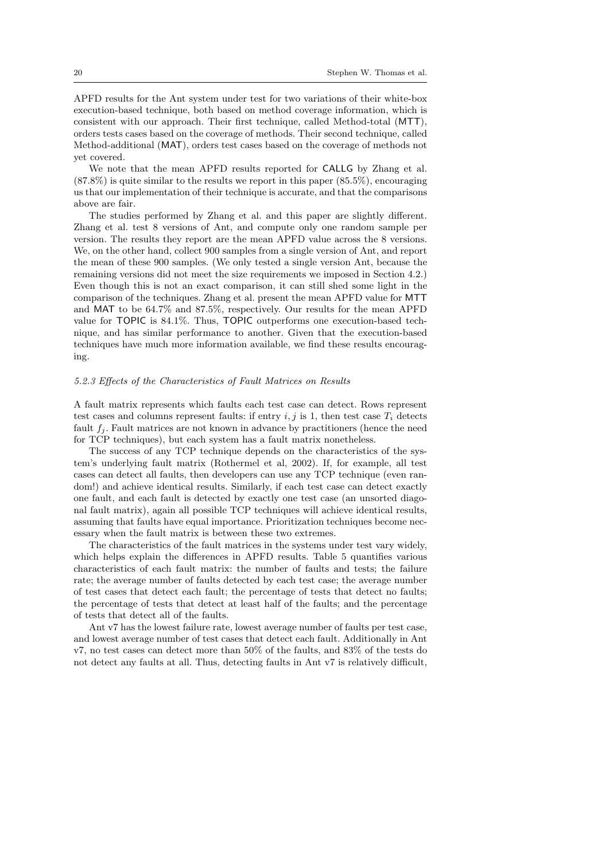APFD results for the Ant system under test for two variations of their white-box execution-based technique, both based on method coverage information, which is consistent with our approach. Their first technique, called Method-total (MTT), orders tests cases based on the coverage of methods. Their second technique, called Method-additional (MAT), orders test cases based on the coverage of methods not yet covered.

We note that the mean APFD results reported for CALLG by Zhang et al.  $(87.8\%)$  is quite similar to the results we report in this paper  $(85.5\%)$ , encouraging us that our implementation of their technique is accurate, and that the comparisons above are fair.

The studies performed by Zhang et al. and this paper are slightly different. Zhang et al. test 8 versions of Ant, and compute only one random sample per version. The results they report are the mean APFD value across the 8 versions. We, on the other hand, collect 900 samples from a single version of Ant, and report the mean of these 900 samples. (We only tested a single version Ant, because the remaining versions did not meet the size requirements we imposed in Section 4.2.) Even though this is not an exact comparison, it can still shed some light in the comparison of the techniques. Zhang et al. present the mean APFD value for MTT and MAT to be 64.7% and 87.5%, respectively. Our results for the mean APFD value for TOPIC is 84.1%. Thus, TOPIC outperforms one execution-based technique, and has similar performance to another. Given that the execution-based techniques have much more information available, we find these results encouraging.

## 5.2.3 Effects of the Characteristics of Fault Matrices on Results

A fault matrix represents which faults each test case can detect. Rows represent test cases and columns represent faults: if entry i, j is 1, then test case  $T_i$  detects fault  $f_i$ . Fault matrices are not known in advance by practitioners (hence the need for TCP techniques), but each system has a fault matrix nonetheless.

The success of any TCP technique depends on the characteristics of the system's underlying fault matrix (Rothermel et al, 2002). If, for example, all test cases can detect all faults, then developers can use any TCP technique (even random!) and achieve identical results. Similarly, if each test case can detect exactly one fault, and each fault is detected by exactly one test case (an unsorted diagonal fault matrix), again all possible TCP techniques will achieve identical results, assuming that faults have equal importance. Prioritization techniques become necessary when the fault matrix is between these two extremes.

The characteristics of the fault matrices in the systems under test vary widely, which helps explain the differences in APFD results. Table 5 quantifies various characteristics of each fault matrix: the number of faults and tests; the failure rate; the average number of faults detected by each test case; the average number of test cases that detect each fault; the percentage of tests that detect no faults; the percentage of tests that detect at least half of the faults; and the percentage of tests that detect all of the faults.

Ant v7 has the lowest failure rate, lowest average number of faults per test case, and lowest average number of test cases that detect each fault. Additionally in Ant v7, no test cases can detect more than 50% of the faults, and 83% of the tests do not detect any faults at all. Thus, detecting faults in Ant v7 is relatively difficult,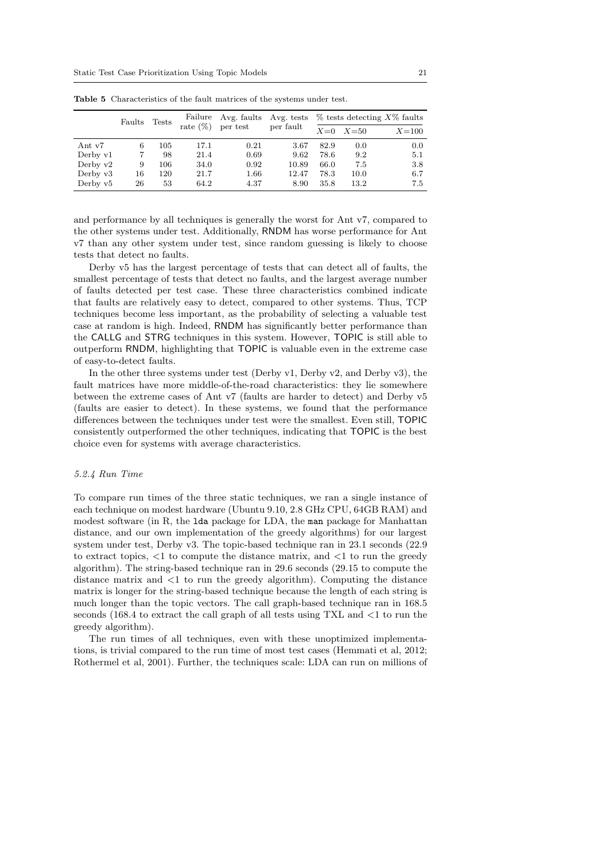|            | Faults | <b>Tests</b> |             | Failure Avg. faults | Avg. tests | $\%$ tests detecting $X\%$ faults |              |         |  |
|------------|--------|--------------|-------------|---------------------|------------|-----------------------------------|--------------|---------|--|
|            |        |              | rate $(\%)$ | per test            | per fault  |                                   | $X=0$ $X=50$ | $X=100$ |  |
| Ant v7     | 6      | 105          | 17.1        | 0.21                | 3.67       | 82.9                              | 0.0          | 0.0     |  |
| Derby v1   |        | 98           | 21.4        | 0.69                | 9.62       | 78.6                              | 9.2          | 5.1     |  |
| Derby $v2$ | 9      | 106          | 34.0        | 0.92                | 10.89      | 66.0                              | 7.5          | 3.8     |  |
| Derby $v3$ | 16     | 120          | 21.7        | 1.66                | 12.47      | 78.3                              | 10.0         | 6.7     |  |
| Derby $v5$ | 26     | 53           | 64.2        | 4.37                | 8.90       | 35.8                              | 13.2         | 7.5     |  |

Table 5 Characteristics of the fault matrices of the systems under test.

and performance by all techniques is generally the worst for Ant v7, compared to the other systems under test. Additionally, RNDM has worse performance for Ant v7 than any other system under test, since random guessing is likely to choose tests that detect no faults.

Derby v5 has the largest percentage of tests that can detect all of faults, the smallest percentage of tests that detect no faults, and the largest average number of faults detected per test case. These three characteristics combined indicate that faults are relatively easy to detect, compared to other systems. Thus, TCP techniques become less important, as the probability of selecting a valuable test case at random is high. Indeed, RNDM has significantly better performance than the CALLG and STRG techniques in this system. However, TOPIC is still able to outperform RNDM, highlighting that TOPIC is valuable even in the extreme case of easy-to-detect faults.

In the other three systems under test (Derby v1, Derby v2, and Derby v3), the fault matrices have more middle-of-the-road characteristics: they lie somewhere between the extreme cases of Ant v7 (faults are harder to detect) and Derby v5 (faults are easier to detect). In these systems, we found that the performance differences between the techniques under test were the smallest. Even still, TOPIC consistently outperformed the other techniques, indicating that TOPIC is the best choice even for systems with average characteristics.

# 5.2.4 Run Time

To compare run times of the three static techniques, we ran a single instance of each technique on modest hardware (Ubuntu 9.10, 2.8 GHz CPU, 64GB RAM) and modest software (in R, the lda package for LDA, the man package for Manhattan distance, and our own implementation of the greedy algorithms) for our largest system under test, Derby v3. The topic-based technique ran in 23.1 seconds (22.9 to extract topics,  $\langle 1 \rangle$  to compute the distance matrix, and  $\langle 1 \rangle$  to run the greedy algorithm). The string-based technique ran in 29.6 seconds (29.15 to compute the distance matrix and  $\leq 1$  to run the greedy algorithm). Computing the distance matrix is longer for the string-based technique because the length of each string is much longer than the topic vectors. The call graph-based technique ran in 168.5 seconds (168.4 to extract the call graph of all tests using  $TXL$  and  $\langle 1 \rangle$  to run the greedy algorithm).

The run times of all techniques, even with these unoptimized implementations, is trivial compared to the run time of most test cases (Hemmati et al, 2012; Rothermel et al, 2001). Further, the techniques scale: LDA can run on millions of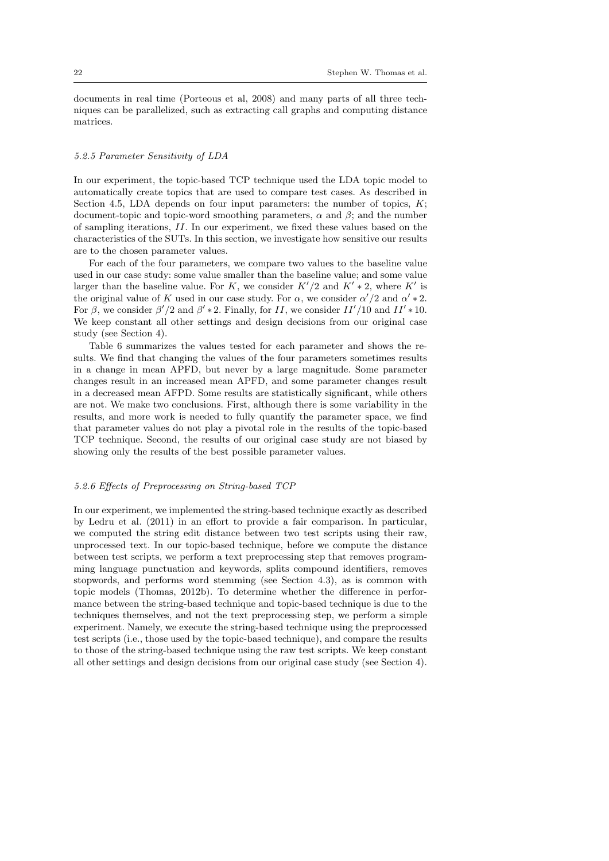documents in real time (Porteous et al, 2008) and many parts of all three techniques can be parallelized, such as extracting call graphs and computing distance matrices.

#### 5.2.5 Parameter Sensitivity of LDA

In our experiment, the topic-based TCP technique used the LDA topic model to automatically create topics that are used to compare test cases. As described in Section 4.5, LDA depends on four input parameters: the number of topics,  $K$ ; document-topic and topic-word smoothing parameters,  $\alpha$  and  $\beta$ ; and the number of sampling iterations, II. In our experiment, we fixed these values based on the characteristics of the SUTs. In this section, we investigate how sensitive our results are to the chosen parameter values.

For each of the four parameters, we compare two values to the baseline value used in our case study: some value smaller than the baseline value; and some value larger than the baseline value. For K, we consider  $K'/2$  and  $K'*2$ , where  $K'$  is the original value of K used in our case study. For  $\alpha$ , we consider  $\alpha'/2$  and  $\alpha' * 2$ . For  $\beta$ , we consider  $\beta'/2$  and  $\beta' * 2$ . Finally, for II, we consider II'/10 and II' \* 10. We keep constant all other settings and design decisions from our original case study (see Section 4).

Table 6 summarizes the values tested for each parameter and shows the results. We find that changing the values of the four parameters sometimes results in a change in mean APFD, but never by a large magnitude. Some parameter changes result in an increased mean APFD, and some parameter changes result in a decreased mean AFPD. Some results are statistically significant, while others are not. We make two conclusions. First, although there is some variability in the results, and more work is needed to fully quantify the parameter space, we find that parameter values do not play a pivotal role in the results of the topic-based TCP technique. Second, the results of our original case study are not biased by showing only the results of the best possible parameter values.

# 5.2.6 Effects of Preprocessing on String-based TCP

In our experiment, we implemented the string-based technique exactly as described by Ledru et al. (2011) in an effort to provide a fair comparison. In particular, we computed the string edit distance between two test scripts using their raw, unprocessed text. In our topic-based technique, before we compute the distance between test scripts, we perform a text preprocessing step that removes programming language punctuation and keywords, splits compound identifiers, removes stopwords, and performs word stemming (see Section 4.3), as is common with topic models (Thomas, 2012b). To determine whether the difference in performance between the string-based technique and topic-based technique is due to the techniques themselves, and not the text preprocessing step, we perform a simple experiment. Namely, we execute the string-based technique using the preprocessed test scripts (i.e., those used by the topic-based technique), and compare the results to those of the string-based technique using the raw test scripts. We keep constant all other settings and design decisions from our original case study (see Section 4).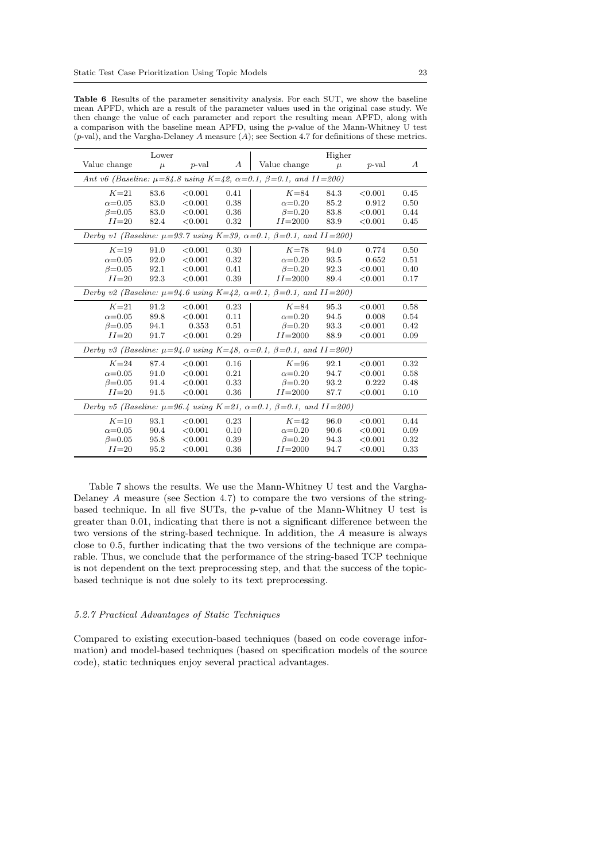|                                                                                               | Lower |          |                  |                                                                                         | Higher |          |                  |  |
|-----------------------------------------------------------------------------------------------|-------|----------|------------------|-----------------------------------------------------------------------------------------|--------|----------|------------------|--|
| Value change                                                                                  | $\mu$ | $p$ -val | $\boldsymbol{A}$ | Value change                                                                            | $\mu$  | $p$ -val | $\boldsymbol{A}$ |  |
|                                                                                               |       |          |                  | Ant v6 (Baseline: $\mu = 84.8$ using K=42, $\alpha = 0.1$ , $\beta = 0.1$ , and II=200) |        |          |                  |  |
| $K=21$                                                                                        | 83.6  | < 0.001  | 0.41             | $K=84$                                                                                  | 84.3   | < 0.001  | 0.45             |  |
| $\alpha = 0.05$                                                                               | 83.0  | < 0.001  | 0.38             | $\alpha=0.20$                                                                           | 85.2   | 0.912    | 0.50             |  |
| $\beta = 0.05$                                                                                | 83.0  | < 0.001  | 0.36             | $\beta = 0.20$                                                                          | 83.8   | < 0.001  | 0.44             |  |
| $II=20$                                                                                       | 82.4  | < 0.001  | 0.32             | $II = 2000$                                                                             | 83.9   | < 0.001  | 0.45             |  |
|                                                                                               |       |          |                  | Derby v1 (Baseline: $\mu=93.7$ using K=39, $\alpha=0.1$ , $\beta=0.1$ , and II=200)     |        |          |                  |  |
| $K=19$                                                                                        | 91.0  | < 0.001  | 0.30             | $K=78$                                                                                  | 94.0   | 0.774    | 0.50             |  |
| $\alpha = 0.05$                                                                               | 92.0  | < 0.001  | 0.32             | $\alpha$ =0.20                                                                          | 93.5   | 0.652    | 0.51             |  |
| $\beta = 0.05$                                                                                | 92.1  | < 0.001  | 0.41             | $\beta = 0.20$                                                                          | 92.3   | < 0.001  | 0.40             |  |
| $II = 20$                                                                                     | 92.3  | < 0.001  | 0.39             | $II = 2000$                                                                             | 89.4   | < 0.001  | 0.17             |  |
|                                                                                               |       |          |                  | Derby v2 (Baseline: $\mu=94.6$ using K=42, $\alpha=0.1$ , $\beta=0.1$ , and II=200)     |        |          |                  |  |
| $K=21$                                                                                        | 91.2  | < 0.001  | 0.23             | $K=84$                                                                                  | 95.3   | < 0.001  | 0.58             |  |
| $\alpha = 0.05$                                                                               | 89.8  | < 0.001  | 0.11             | $\alpha = 0.20$                                                                         | 94.5   | 0.008    | 0.54             |  |
| $\beta = 0.05$                                                                                | 94.1  | 0.353    | 0.51             | $\beta = 0.20$                                                                          | 93.3   | < 0.001  | 0.42             |  |
| $II = 20$                                                                                     | 91.7  | < 0.001  | 0.29             | $II = 2000$                                                                             | 88.9   | < 0.001  | 0.09             |  |
|                                                                                               |       |          |                  | Derby v3 (Baseline: $\mu=94.0$ using K=48, $\alpha=0.1$ , $\beta=0.1$ , and II=200)     |        |          |                  |  |
| $K=24$                                                                                        | 87.4  | < 0.001  | 0.16             | $K = 96$                                                                                | 92.1   | < 0.001  | 0.32             |  |
| $\alpha$ =0.05                                                                                | 91.0  | < 0.001  | 0.21             | $\alpha = 0.20$                                                                         | 94.7   | < 0.001  | 0.58             |  |
| $\beta = 0.05$                                                                                | 91.4  | < 0.001  | 0.33             | $\beta = 0.20$                                                                          | 93.2   | 0.222    | 0.48             |  |
| $II = 20$                                                                                     | 91.5  | < 0.001  | 0.36             | $II = 2000$                                                                             | 87.7   | < 0.001  | 0.10             |  |
| Derby v5 (Baseline: $\mu = 96.4$ using K = 21, $\alpha = 0.1$ , $\beta = 0.1$ , and II = 200) |       |          |                  |                                                                                         |        |          |                  |  |
| $K=10$                                                                                        | 93.1  | < 0.001  | 0.23             | $K=42$                                                                                  | 96.0   | < 0.001  | 0.44             |  |
| $\alpha$ =0.05                                                                                | 90.4  | < 0.001  | 0.10             | $\alpha$ =0.20                                                                          | 90.6   | < 0.001  | 0.09             |  |
| $\beta = 0.05$                                                                                | 95.8  | < 0.001  | 0.39             | $\beta = 0.20$                                                                          | 94.3   | < 0.001  | 0.32             |  |
| $II=20$                                                                                       | 95.2  | < 0.001  | 0.36             | $II = 2000$                                                                             | 94.7   | < 0.001  | 0.33             |  |

Table 6 Results of the parameter sensitivity analysis. For each SUT, we show the baseline mean APFD, which are a result of the parameter values used in the original case study. We then change the value of each parameter and report the resulting mean APFD, along with a comparison with the baseline mean APFD, using the p-value of the Mann-Whitney U test (p-val), and the Vargha-Delaney A measure (A); see Section 4.7 for definitions of these metrics.

Table 7 shows the results. We use the Mann-Whitney U test and the Vargha-Delaney A measure (see Section 4.7) to compare the two versions of the stringbased technique. In all five SUTs, the p-value of the Mann-Whitney U test is greater than 0.01, indicating that there is not a significant difference between the two versions of the string-based technique. In addition, the A measure is always close to 0.5, further indicating that the two versions of the technique are comparable. Thus, we conclude that the performance of the string-based TCP technique is not dependent on the text preprocessing step, and that the success of the topicbased technique is not due solely to its text preprocessing.

# 5.2.7 Practical Advantages of Static Techniques

Compared to existing execution-based techniques (based on code coverage information) and model-based techniques (based on specification models of the source code), static techniques enjoy several practical advantages.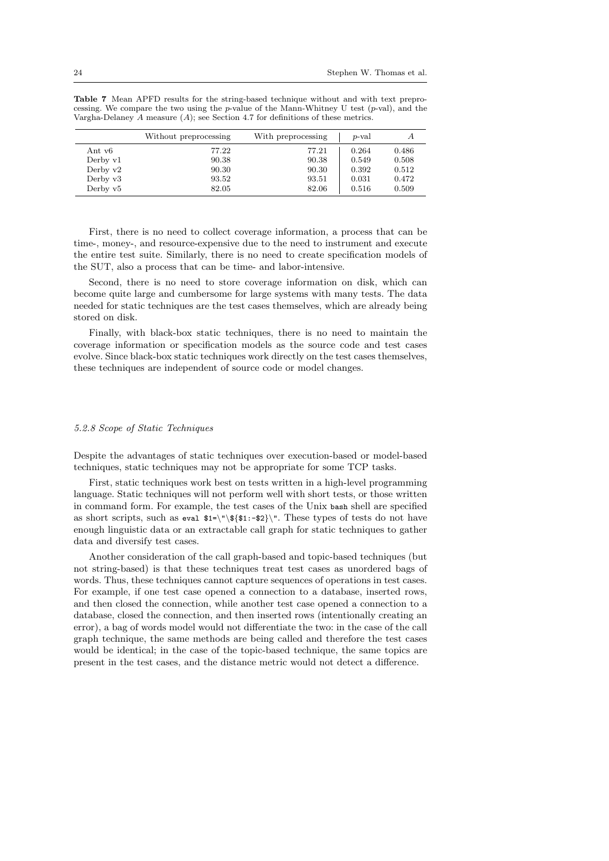|            | Without preprocessing | With preprocessing | p-val | А     |
|------------|-----------------------|--------------------|-------|-------|
| Ant v6     | 77.22                 | 77.21              | 0.264 | 0.486 |
| Derby v1   | 90.38                 | 90.38              | 0.549 | 0.508 |
| Derby $v2$ | 90.30                 | 90.30              | 0.392 | 0.512 |
| Derby $v3$ | 93.52                 | 93.51              | 0.031 | 0.472 |
| Derby $v5$ | 82.05                 | 82.06              | 0.516 | 0.509 |

Table 7 Mean APFD results for the string-based technique without and with text preprocessing. We compare the two using the p-value of the Mann-Whitney U test  $(p$ -val), and the Vargha-Delaney A measure (A); see Section 4.7 for definitions of these metrics.

First, there is no need to collect coverage information, a process that can be time-, money-, and resource-expensive due to the need to instrument and execute the entire test suite. Similarly, there is no need to create specification models of the SUT, also a process that can be time- and labor-intensive.

Second, there is no need to store coverage information on disk, which can become quite large and cumbersome for large systems with many tests. The data needed for static techniques are the test cases themselves, which are already being stored on disk.

Finally, with black-box static techniques, there is no need to maintain the coverage information or specification models as the source code and test cases evolve. Since black-box static techniques work directly on the test cases themselves, these techniques are independent of source code or model changes.

#### 5.2.8 Scope of Static Techniques

Despite the advantages of static techniques over execution-based or model-based techniques, static techniques may not be appropriate for some TCP tasks.

First, static techniques work best on tests written in a high-level programming language. Static techniques will not perform well with short tests, or those written in command form. For example, the test cases of the Unix bash shell are specified as short scripts, such as eval  $1 = \{\hat{1}, \hat{2}\} \$ . These types of tests do not have enough linguistic data or an extractable call graph for static techniques to gather data and diversify test cases.

Another consideration of the call graph-based and topic-based techniques (but not string-based) is that these techniques treat test cases as unordered bags of words. Thus, these techniques cannot capture sequences of operations in test cases. For example, if one test case opened a connection to a database, inserted rows, and then closed the connection, while another test case opened a connection to a database, closed the connection, and then inserted rows (intentionally creating an error), a bag of words model would not differentiate the two: in the case of the call graph technique, the same methods are being called and therefore the test cases would be identical; in the case of the topic-based technique, the same topics are present in the test cases, and the distance metric would not detect a difference.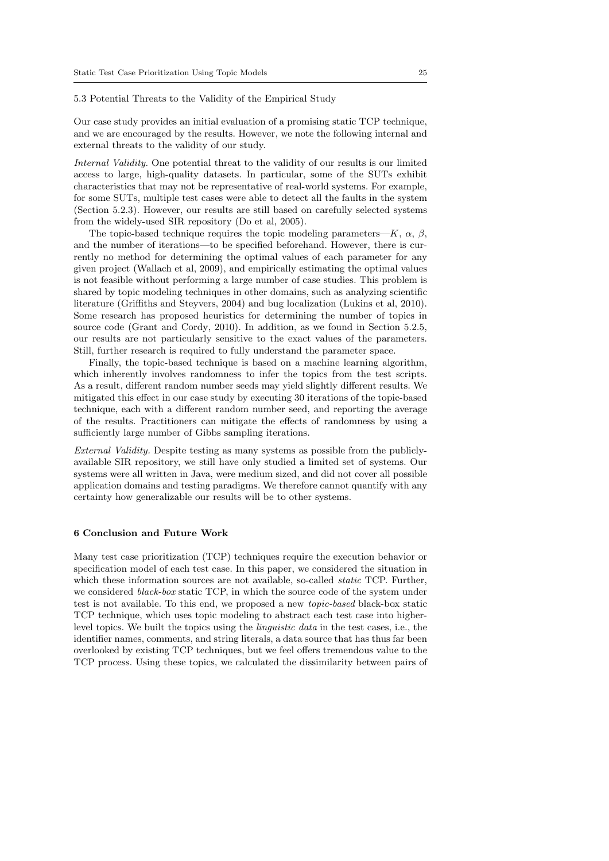# 5.3 Potential Threats to the Validity of the Empirical Study

Our case study provides an initial evaluation of a promising static TCP technique, and we are encouraged by the results. However, we note the following internal and external threats to the validity of our study.

Internal Validity. One potential threat to the validity of our results is our limited access to large, high-quality datasets. In particular, some of the SUTs exhibit characteristics that may not be representative of real-world systems. For example, for some SUTs, multiple test cases were able to detect all the faults in the system (Section 5.2.3). However, our results are still based on carefully selected systems from the widely-used SIR repository (Do et al, 2005).

The topic-based technique requires the topic modeling parameters— $K$ ,  $\alpha$ ,  $\beta$ , and the number of iterations—to be specified beforehand. However, there is currently no method for determining the optimal values of each parameter for any given project (Wallach et al, 2009), and empirically estimating the optimal values is not feasible without performing a large number of case studies. This problem is shared by topic modeling techniques in other domains, such as analyzing scientific literature (Griffiths and Steyvers, 2004) and bug localization (Lukins et al, 2010). Some research has proposed heuristics for determining the number of topics in source code (Grant and Cordy, 2010). In addition, as we found in Section 5.2.5, our results are not particularly sensitive to the exact values of the parameters. Still, further research is required to fully understand the parameter space.

Finally, the topic-based technique is based on a machine learning algorithm, which inherently involves randomness to infer the topics from the test scripts. As a result, different random number seeds may yield slightly different results. We mitigated this effect in our case study by executing 30 iterations of the topic-based technique, each with a different random number seed, and reporting the average of the results. Practitioners can mitigate the effects of randomness by using a sufficiently large number of Gibbs sampling iterations.

External Validity. Despite testing as many systems as possible from the publiclyavailable SIR repository, we still have only studied a limited set of systems. Our systems were all written in Java, were medium sized, and did not cover all possible application domains and testing paradigms. We therefore cannot quantify with any certainty how generalizable our results will be to other systems.

# 6 Conclusion and Future Work

Many test case prioritization (TCP) techniques require the execution behavior or specification model of each test case. In this paper, we considered the situation in which these information sources are not available, so-called *static* TCP. Further, we considered *black-box* static TCP, in which the source code of the system under test is not available. To this end, we proposed a new topic-based black-box static TCP technique, which uses topic modeling to abstract each test case into higherlevel topics. We built the topics using the linguistic data in the test cases, i.e., the identifier names, comments, and string literals, a data source that has thus far been overlooked by existing TCP techniques, but we feel offers tremendous value to the TCP process. Using these topics, we calculated the dissimilarity between pairs of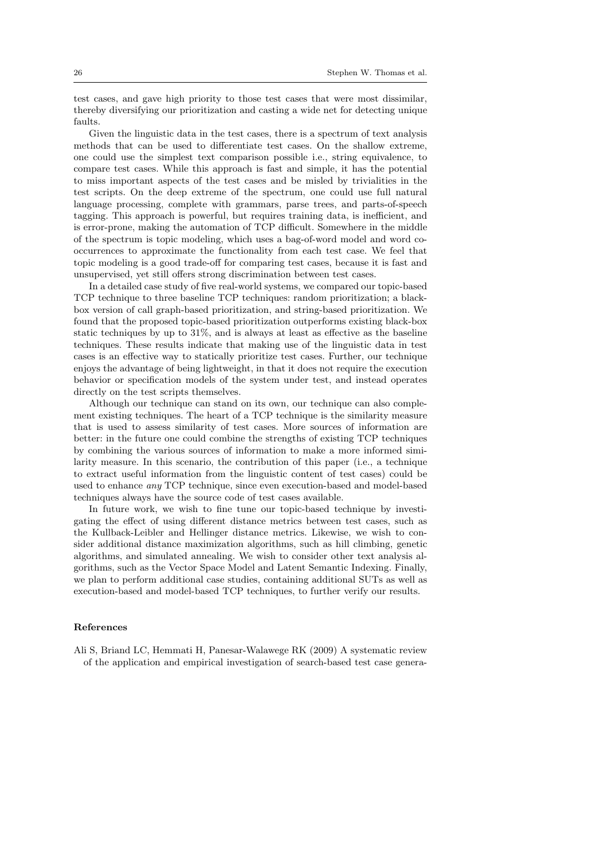test cases, and gave high priority to those test cases that were most dissimilar, thereby diversifying our prioritization and casting a wide net for detecting unique faults.

Given the linguistic data in the test cases, there is a spectrum of text analysis methods that can be used to differentiate test cases. On the shallow extreme, one could use the simplest text comparison possible i.e., string equivalence, to compare test cases. While this approach is fast and simple, it has the potential to miss important aspects of the test cases and be misled by trivialities in the test scripts. On the deep extreme of the spectrum, one could use full natural language processing, complete with grammars, parse trees, and parts-of-speech tagging. This approach is powerful, but requires training data, is inefficient, and is error-prone, making the automation of TCP difficult. Somewhere in the middle of the spectrum is topic modeling, which uses a bag-of-word model and word cooccurrences to approximate the functionality from each test case. We feel that topic modeling is a good trade-off for comparing test cases, because it is fast and unsupervised, yet still offers strong discrimination between test cases.

In a detailed case study of five real-world systems, we compared our topic-based TCP technique to three baseline TCP techniques: random prioritization; a blackbox version of call graph-based prioritization, and string-based prioritization. We found that the proposed topic-based prioritization outperforms existing black-box static techniques by up to 31%, and is always at least as effective as the baseline techniques. These results indicate that making use of the linguistic data in test cases is an effective way to statically prioritize test cases. Further, our technique enjoys the advantage of being lightweight, in that it does not require the execution behavior or specification models of the system under test, and instead operates directly on the test scripts themselves.

Although our technique can stand on its own, our technique can also complement existing techniques. The heart of a TCP technique is the similarity measure that is used to assess similarity of test cases. More sources of information are better: in the future one could combine the strengths of existing TCP techniques by combining the various sources of information to make a more informed similarity measure. In this scenario, the contribution of this paper (i.e., a technique to extract useful information from the linguistic content of test cases) could be used to enhance any TCP technique, since even execution-based and model-based techniques always have the source code of test cases available.

In future work, we wish to fine tune our topic-based technique by investigating the effect of using different distance metrics between test cases, such as the Kullback-Leibler and Hellinger distance metrics. Likewise, we wish to consider additional distance maximization algorithms, such as hill climbing, genetic algorithms, and simulated annealing. We wish to consider other text analysis algorithms, such as the Vector Space Model and Latent Semantic Indexing. Finally, we plan to perform additional case studies, containing additional SUTs as well as execution-based and model-based TCP techniques, to further verify our results.

## References

Ali S, Briand LC, Hemmati H, Panesar-Walawege RK (2009) A systematic review of the application and empirical investigation of search-based test case genera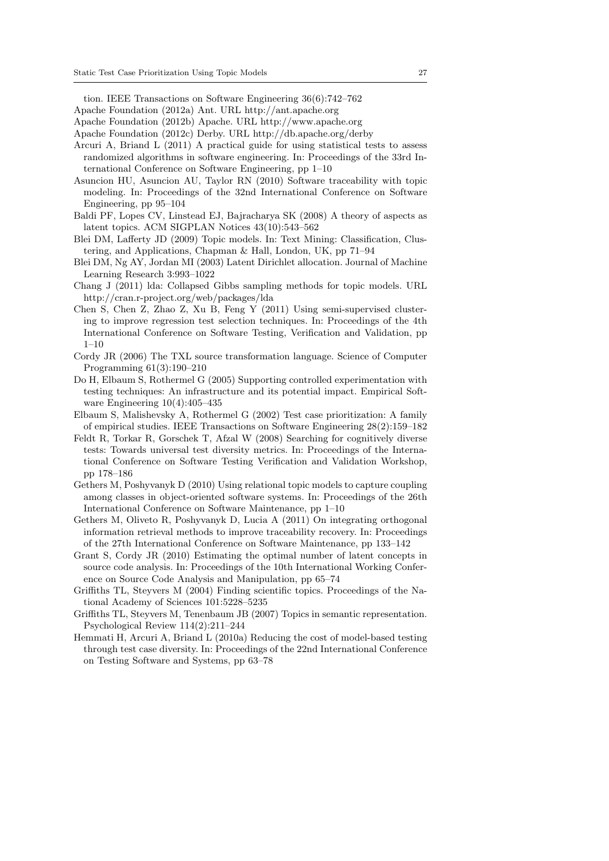tion. IEEE Transactions on Software Engineering 36(6):742–762

- Apache Foundation (2012a) Ant. URL http://ant.apache.org
- Apache Foundation (2012b) Apache. URL http://www.apache.org
- Apache Foundation (2012c) Derby. URL http://db.apache.org/derby
- Arcuri A, Briand L (2011) A practical guide for using statistical tests to assess randomized algorithms in software engineering. In: Proceedings of the 33rd International Conference on Software Engineering, pp 1–10
- Asuncion HU, Asuncion AU, Taylor RN (2010) Software traceability with topic modeling. In: Proceedings of the 32nd International Conference on Software Engineering, pp 95–104
- Baldi PF, Lopes CV, Linstead EJ, Bajracharya SK (2008) A theory of aspects as latent topics. ACM SIGPLAN Notices 43(10):543–562
- Blei DM, Lafferty JD (2009) Topic models. In: Text Mining: Classification, Clustering, and Applications, Chapman & Hall, London, UK, pp 71–94
- Blei DM, Ng AY, Jordan MI (2003) Latent Dirichlet allocation. Journal of Machine Learning Research 3:993–1022
- Chang J (2011) lda: Collapsed Gibbs sampling methods for topic models. URL http://cran.r-project.org/web/packages/lda
- Chen S, Chen Z, Zhao Z, Xu B, Feng Y (2011) Using semi-supervised clustering to improve regression test selection techniques. In: Proceedings of the 4th International Conference on Software Testing, Verification and Validation, pp 1–10
- Cordy JR (2006) The TXL source transformation language. Science of Computer Programming 61(3):190–210
- Do H, Elbaum S, Rothermel G (2005) Supporting controlled experimentation with testing techniques: An infrastructure and its potential impact. Empirical Software Engineering 10(4):405–435
- Elbaum S, Malishevsky A, Rothermel G (2002) Test case prioritization: A family of empirical studies. IEEE Transactions on Software Engineering 28(2):159–182
- Feldt R, Torkar R, Gorschek T, Afzal W (2008) Searching for cognitively diverse tests: Towards universal test diversity metrics. In: Proceedings of the International Conference on Software Testing Verification and Validation Workshop, pp 178–186
- Gethers M, Poshyvanyk D (2010) Using relational topic models to capture coupling among classes in object-oriented software systems. In: Proceedings of the 26th International Conference on Software Maintenance, pp 1–10
- Gethers M, Oliveto R, Poshyvanyk D, Lucia A (2011) On integrating orthogonal information retrieval methods to improve traceability recovery. In: Proceedings of the 27th International Conference on Software Maintenance, pp 133–142
- Grant S, Cordy JR (2010) Estimating the optimal number of latent concepts in source code analysis. In: Proceedings of the 10th International Working Conference on Source Code Analysis and Manipulation, pp 65–74
- Griffiths TL, Steyvers M (2004) Finding scientific topics. Proceedings of the National Academy of Sciences 101:5228–5235
- Griffiths TL, Steyvers M, Tenenbaum JB (2007) Topics in semantic representation. Psychological Review 114(2):211–244
- Hemmati H, Arcuri A, Briand L (2010a) Reducing the cost of model-based testing through test case diversity. In: Proceedings of the 22nd International Conference on Testing Software and Systems, pp 63–78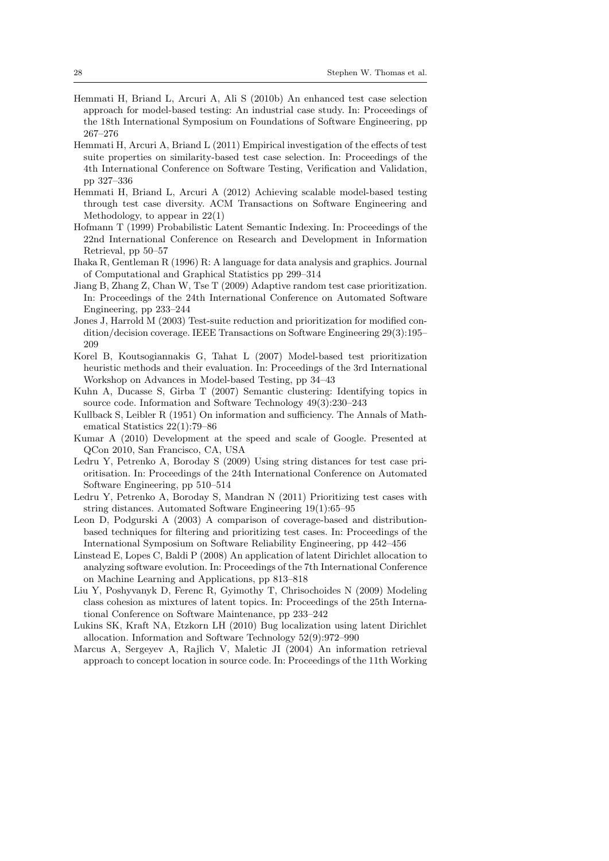- Hemmati H, Briand L, Arcuri A, Ali S (2010b) An enhanced test case selection approach for model-based testing: An industrial case study. In: Proceedings of the 18th International Symposium on Foundations of Software Engineering, pp 267–276
- Hemmati H, Arcuri A, Briand L (2011) Empirical investigation of the effects of test suite properties on similarity-based test case selection. In: Proceedings of the 4th International Conference on Software Testing, Verification and Validation, pp 327–336
- Hemmati H, Briand L, Arcuri A (2012) Achieving scalable model-based testing through test case diversity. ACM Transactions on Software Engineering and Methodology, to appear in 22(1)
- Hofmann T (1999) Probabilistic Latent Semantic Indexing. In: Proceedings of the 22nd International Conference on Research and Development in Information Retrieval, pp 50–57
- Ihaka R, Gentleman R (1996) R: A language for data analysis and graphics. Journal of Computational and Graphical Statistics pp 299–314
- Jiang B, Zhang Z, Chan W, Tse T (2009) Adaptive random test case prioritization. In: Proceedings of the 24th International Conference on Automated Software Engineering, pp 233–244
- Jones J, Harrold M (2003) Test-suite reduction and prioritization for modified condition/decision coverage. IEEE Transactions on Software Engineering 29(3):195– 209
- Korel B, Koutsogiannakis G, Tahat L (2007) Model-based test prioritization heuristic methods and their evaluation. In: Proceedings of the 3rd International Workshop on Advances in Model-based Testing, pp 34–43
- Kuhn A, Ducasse S, Girba T (2007) Semantic clustering: Identifying topics in source code. Information and Software Technology 49(3):230–243
- Kullback S, Leibler R (1951) On information and sufficiency. The Annals of Mathematical Statistics 22(1):79–86
- Kumar A (2010) Development at the speed and scale of Google. Presented at QCon 2010, San Francisco, CA, USA
- Ledru Y, Petrenko A, Boroday S (2009) Using string distances for test case prioritisation. In: Proceedings of the 24th International Conference on Automated Software Engineering, pp 510–514
- Ledru Y, Petrenko A, Boroday S, Mandran N (2011) Prioritizing test cases with string distances. Automated Software Engineering 19(1):65–95
- Leon D, Podgurski A (2003) A comparison of coverage-based and distributionbased techniques for filtering and prioritizing test cases. In: Proceedings of the International Symposium on Software Reliability Engineering, pp 442–456
- Linstead E, Lopes C, Baldi P (2008) An application of latent Dirichlet allocation to analyzing software evolution. In: Proceedings of the 7th International Conference on Machine Learning and Applications, pp 813–818
- Liu Y, Poshyvanyk D, Ferenc R, Gyimothy T, Chrisochoides N (2009) Modeling class cohesion as mixtures of latent topics. In: Proceedings of the 25th International Conference on Software Maintenance, pp 233–242
- Lukins SK, Kraft NA, Etzkorn LH (2010) Bug localization using latent Dirichlet allocation. Information and Software Technology 52(9):972–990
- Marcus A, Sergeyev A, Rajlich V, Maletic JI (2004) An information retrieval approach to concept location in source code. In: Proceedings of the 11th Working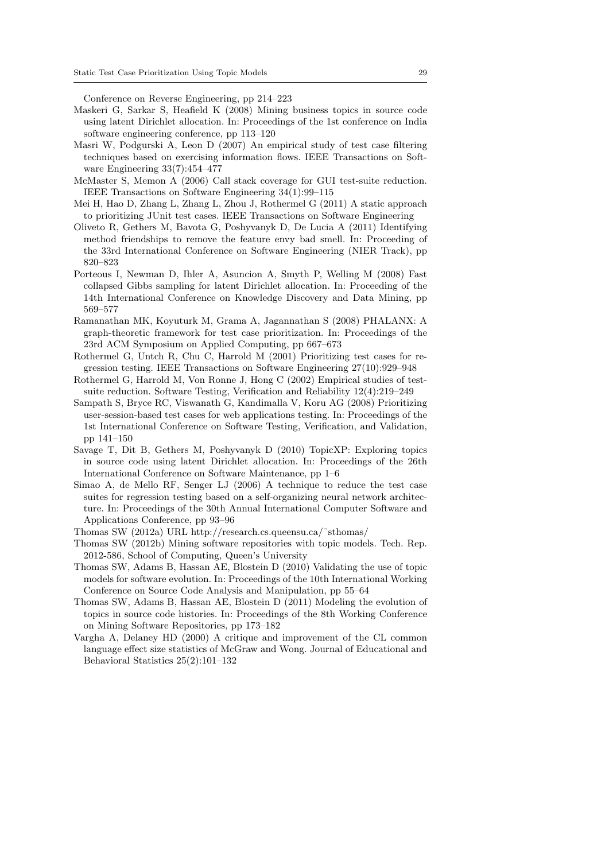Conference on Reverse Engineering, pp 214–223

- Maskeri G, Sarkar S, Heafield K (2008) Mining business topics in source code using latent Dirichlet allocation. In: Proceedings of the 1st conference on India software engineering conference, pp 113–120
- Masri W, Podgurski A, Leon D (2007) An empirical study of test case filtering techniques based on exercising information flows. IEEE Transactions on Software Engineering 33(7):454–477
- McMaster S, Memon A (2006) Call stack coverage for GUI test-suite reduction. IEEE Transactions on Software Engineering 34(1):99–115
- Mei H, Hao D, Zhang L, Zhang L, Zhou J, Rothermel G (2011) A static approach to prioritizing JUnit test cases. IEEE Transactions on Software Engineering
- Oliveto R, Gethers M, Bavota G, Poshyvanyk D, De Lucia A (2011) Identifying method friendships to remove the feature envy bad smell. In: Proceeding of the 33rd International Conference on Software Engineering (NIER Track), pp 820–823
- Porteous I, Newman D, Ihler A, Asuncion A, Smyth P, Welling M (2008) Fast collapsed Gibbs sampling for latent Dirichlet allocation. In: Proceeding of the 14th International Conference on Knowledge Discovery and Data Mining, pp 569–577
- Ramanathan MK, Koyuturk M, Grama A, Jagannathan S (2008) PHALANX: A graph-theoretic framework for test case prioritization. In: Proceedings of the 23rd ACM Symposium on Applied Computing, pp 667–673
- Rothermel G, Untch R, Chu C, Harrold M (2001) Prioritizing test cases for regression testing. IEEE Transactions on Software Engineering 27(10):929–948
- Rothermel G, Harrold M, Von Ronne J, Hong C (2002) Empirical studies of testsuite reduction. Software Testing, Verification and Reliability 12(4):219–249
- Sampath S, Bryce RC, Viswanath G, Kandimalla V, Koru AG (2008) Prioritizing user-session-based test cases for web applications testing. In: Proceedings of the 1st International Conference on Software Testing, Verification, and Validation, pp 141–150
- Savage T, Dit B, Gethers M, Poshyvanyk D (2010) TopicXP: Exploring topics in source code using latent Dirichlet allocation. In: Proceedings of the 26th International Conference on Software Maintenance, pp 1–6
- Simao A, de Mello RF, Senger LJ (2006) A technique to reduce the test case suites for regression testing based on a self-organizing neural network architecture. In: Proceedings of the 30th Annual International Computer Software and Applications Conference, pp 93–96
- Thomas SW (2012a) URL http://research.cs.queensu.ca/˜sthomas/
- Thomas SW (2012b) Mining software repositories with topic models. Tech. Rep. 2012-586, School of Computing, Queen's University
- Thomas SW, Adams B, Hassan AE, Blostein D (2010) Validating the use of topic models for software evolution. In: Proceedings of the 10th International Working Conference on Source Code Analysis and Manipulation, pp 55–64
- Thomas SW, Adams B, Hassan AE, Blostein D (2011) Modeling the evolution of topics in source code histories. In: Proceedings of the 8th Working Conference on Mining Software Repositories, pp 173–182
- Vargha A, Delaney HD (2000) A critique and improvement of the CL common language effect size statistics of McGraw and Wong. Journal of Educational and Behavioral Statistics 25(2):101–132